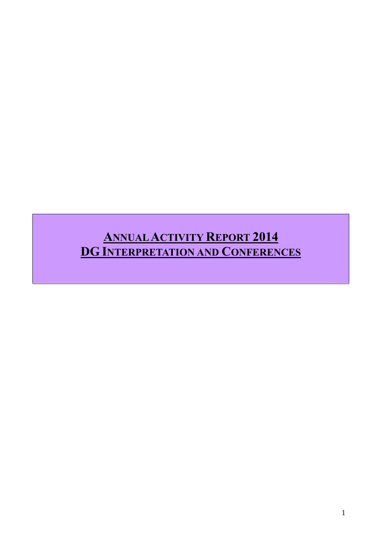# **ANNUALACTIVITY REPORT 2014 DG INTERPRETATION AND CONFERENCES**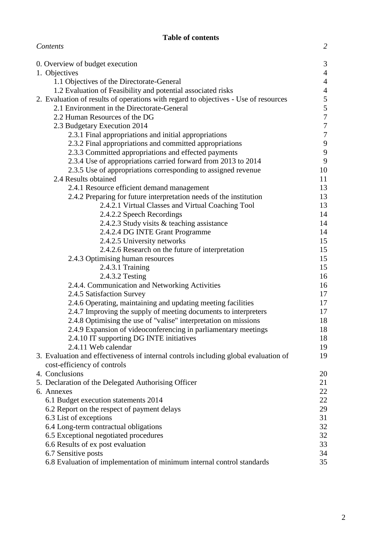# **Table of contents**

*Contents 2*

|                                                                                     | 3                |
|-------------------------------------------------------------------------------------|------------------|
| 0. Overview of budget execution<br>1. Objectives                                    | $\overline{4}$   |
| 1.1 Objectives of the Directorate-General                                           | $\overline{4}$   |
| 1.2 Evaluation of Feasibility and potential associated risks                        | $\overline{4}$   |
| 2. Evaluation of results of operations with regard to objectives - Use of resources | 5                |
| 2.1 Environment in the Directorate-General                                          | 5                |
| 2.2 Human Resources of the DG                                                       | $\overline{7}$   |
| 2.3 Budgetary Execution 2014                                                        | $\boldsymbol{7}$ |
| 2.3.1 Final appropriations and initial appropriations                               | $\boldsymbol{7}$ |
| 2.3.2 Final appropriations and committed appropriations                             | 9                |
| 2.3.3 Committed appropriations and effected payments                                | 9                |
| 2.3.4 Use of appropriations carried forward from 2013 to 2014                       | 9                |
| 2.3.5 Use of appropriations corresponding to assigned revenue                       | 10               |
| 2.4 Results obtained                                                                | 11               |
| 2.4.1 Resource efficient demand management                                          | 13               |
| 2.4.2 Preparing for future interpretation needs of the institution                  | 13               |
| 2.4.2.1 Virtual Classes and Virtual Coaching Tool                                   | 13               |
| 2.4.2.2 Speech Recordings                                                           | 14               |
| 2.4.2.3 Study visits & teaching assistance                                          | 14               |
| 2.4.2.4 DG INTE Grant Programme                                                     | 14               |
| 2.4.2.5 University networks                                                         | 15               |
| 2.4.2.6 Research on the future of interpretation                                    | 15               |
| 2.4.3 Optimising human resources                                                    | 15               |
| 2.4.3.1 Training                                                                    | 15               |
| 2.4.3.2 Testing                                                                     | 16               |
| 2.4.4. Communication and Networking Activities                                      | 16               |
| 2.4.5 Satisfaction Survey                                                           | 17               |
| 2.4.6 Operating, maintaining and updating meeting facilities                        | 17               |
| 2.4.7 Improving the supply of meeting documents to interpreters                     | 17               |
| 2.4.8 Optimising the use of "valise" interpretation on missions                     | 18               |
| 2.4.9 Expansion of videoconferencing in parliamentary meetings                      | 18               |
| 2.4.10 IT supporting DG INTE initiatives<br>2.4.11 Web calendar                     | 18               |
| 3. Evaluation and effectiveness of internal controls including global evaluation of | 19<br>19         |
| cost-efficiency of controls                                                         |                  |
| 4. Conclusions                                                                      | 20               |
| 5. Declaration of the Delegated Authorising Officer                                 | 21               |
| 6. Annexes                                                                          | 22               |
| 6.1 Budget execution statements 2014                                                | 22               |
| 6.2 Report on the respect of payment delays                                         | 29               |
| 6.3 List of exceptions                                                              | 31               |
| 6.4 Long-term contractual obligations                                               | 32               |
| 6.5 Exceptional negotiated procedures                                               | 32               |
| 6.6 Results of ex post evaluation                                                   | 33               |
| 6.7 Sensitive posts                                                                 | 34               |
| 6.8 Evaluation of implementation of minimum internal control standards              | 35               |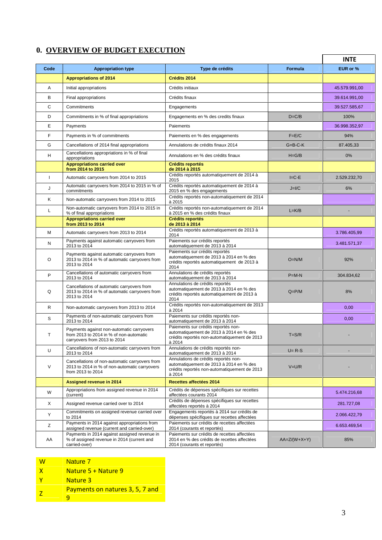# **0. OVERVIEW OF BUDGET EXECUTION**

|              |                                                                                                                      |                                                                                                                                                  |                 | <b>INTE</b>   |
|--------------|----------------------------------------------------------------------------------------------------------------------|--------------------------------------------------------------------------------------------------------------------------------------------------|-----------------|---------------|
| Code         | <b>Appropriation type</b>                                                                                            | Type de crédits                                                                                                                                  | <b>Formula</b>  | EUR or %      |
|              | <b>Appropriations of 2014</b>                                                                                        | Crédits 2014                                                                                                                                     |                 |               |
| Α            | Initial appropriations                                                                                               | Crédits initiaux                                                                                                                                 |                 | 45.579.991,00 |
| B            | Final appropriations                                                                                                 | Crédits finaux                                                                                                                                   |                 | 39.614.991,00 |
| С            | Commitments                                                                                                          | Engagements                                                                                                                                      |                 | 39.527.585,67 |
| D            | Commitments in % of final appropriations                                                                             | Engagements en % des credits finaux                                                                                                              | $D=C/B$         | 100%          |
| Е            | Payments                                                                                                             | Paiements                                                                                                                                        |                 | 36.998.352,97 |
| F            | Payments in % of commitments                                                                                         | Paiements en % des engagements                                                                                                                   | $F = E/C$       | 94%           |
| G            | Cancellations of 2014 final appropriations                                                                           | Annulations de crédits finaux 2014                                                                                                               | $G = B - C - K$ | 87.405.33     |
| н            | Cancellations appropriations in % of final<br>appropriations                                                         | Annulations en % des crédits finaux                                                                                                              | $H = G/B$       | 0%            |
|              | <b>Appropriations carried over</b><br>from 2014 to 2015                                                              | <b>Crédits reportés</b><br>de 2014 à 2015                                                                                                        |                 |               |
| $\mathbf{I}$ | Automatic carryovers from 2014 to 2015                                                                               | Crédits reportés automatiquement de 2014 à<br>2015                                                                                               | $I = C - E$     | 2.529.232,70  |
| J            | Automatic carryovers from 2014 to 2015 in % of                                                                       | Crédits reportés automatiquement de 2014 à                                                                                                       | $J=I/C$         | 6%            |
| Κ            | commitments<br>Non-automatic carryovers from 2014 to 2015                                                            | 2015 en % des engagements<br>Crédits reportés non-automatiquement de 2014                                                                        |                 |               |
|              | Non-automatic carryovers from 2014 to 2015 in                                                                        | à 2015<br>Crédits reportés non-automatiquement de 2014                                                                                           |                 |               |
| L            | % of final appropriations<br><b>Appropriations carried over</b>                                                      | à 2015 en % des crédits finaux<br><b>Crédits reportés</b>                                                                                        | $L=K/B$         |               |
|              | from 2013 to 2014                                                                                                    | de 2013 à 2014                                                                                                                                   |                 |               |
| М            | Automatic carryovers from 2013 to 2014                                                                               | Crédits reportés automatiquement de 2013 à<br>2014                                                                                               |                 | 3.786.405,99  |
| N            | Payments against automatic carryovers from<br>2013 to 2014                                                           | Paiements sur crédits reportés<br>automatiquement de 2013 à 2014                                                                                 |                 | 3.481.571,37  |
| O            | Payments against automatic carryovers from<br>2013 to 2014 in % of automatic carryovers from<br>2013 to 2014         | Paiements sur crédits reportés<br>automatiquement de 2013 à 2014 en % des<br>crédits reportés automatiquement de 2013 à<br>2014                  | $O=N/M$         | 92%           |
| P            | Cancellations of automatic carryovers from<br>2013 to 2014                                                           | Annulations de crédits reportés<br>automatiquement de 2013 à 2014                                                                                | $P=M-N$         | 304.834,62    |
| Q            | Cancellations of automatic carryovers from<br>2013 to 2014 in % of automatic carryovers from<br>2013 to 2014         | Annulations de crédits reportés<br>automatiquement de 2013 à 2014 en % des<br>crédits reportés automatiquement de 2013 à<br>2014                 | $Q = P/M$       | 8%            |
| R            | Non-automatic carryovers from 2013 to 2014                                                                           | Crédits reportés non-automatiquement de 2013<br>à 2014                                                                                           |                 | 0,00          |
| S            | Payments of non-automatic carryovers from<br>2013 to 2014                                                            | Paiements sur crédits reportés non-<br>automatiquement de 2013 à 2014                                                                            |                 | 0,00          |
| Т            | Payments against non-automatic carryovers<br>from 2013 to 2014 in % of non-automatic<br>carryovers from 2013 to 2014 | Paiements sur crédits reportés non-<br>automatiquement de 2013 à 2014 en % des<br>crédits reportés non-automatiquement de 2013<br>$\lambda$ 2014 | $T = S/R$       |               |
| U            | Cancellations of non-automatic carryovers from<br>2013 to 2014                                                       | Annulations de crédits reportés non-<br>automatiquement de 2013 à 2014                                                                           | $U = R-S$       |               |
| $\vee$       | Cancellations of non-automatic carryovers from<br>2013 to 2014 in % of non-automatic carryovers<br>from 2013 to 2014 | Annulations de crédits reportés non-<br>automatiquement de 2013 à 2014 en % des<br>crédits reportés non-automatiquement de 2013<br>à 2014        | $V=U/R$         |               |
|              | <b>Assigned revenue in 2014</b>                                                                                      | Recettes affectées 2014                                                                                                                          |                 |               |
| W            | Appropriations from assigned revenue in 2014<br>(current)                                                            | Crédits de dépenses spécifiques sur recettes<br>affectées courants 2014                                                                          |                 | 5.474.216,68  |
| X            | Assigned revenue carried over to 2014                                                                                | Crédits de dépenses spécifiques sur recettes<br>affectées reportés à 2014                                                                        |                 | 281.727,08    |
| Y            | Commitments on assigned revenue carried over<br>to 2014                                                              | Engagements reportés à 2014 sur crédits de<br>dépenses spécifiques sur recettes affectées                                                        |                 | 2.066.422,79  |
| Ζ            | Payments in 2014 against appropriations from<br>assigned revenue (current and carried-over)                          | Paiements sur crédits de recettes affectées<br>2014 (courants et reportés)                                                                       |                 | 6.653.469,54  |
| AA           | Payments in 2014 against assigned revenue in<br>% of assigned revenue in 2014 (current and<br>carried-over)          | Paiements sur crédits de recettes affectées<br>2014 en % des crédits de recettes affectées<br>2014 (courants et reportés)                        | $AA=Z/(W+X+Y)$  | 85%           |

| w | Nature 7                        |  |
|---|---------------------------------|--|
| x | Nature 5 + Nature 9             |  |
|   | Nature 3                        |  |
|   | Payments on natures 3, 5, 7 and |  |

3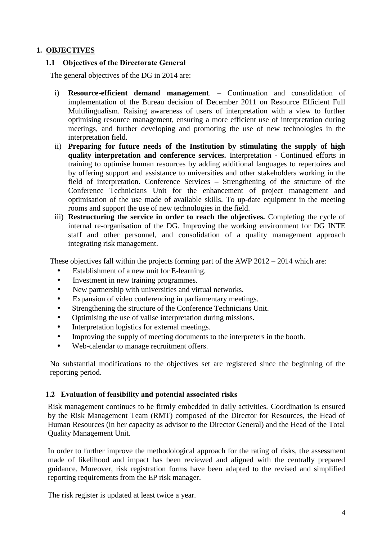#### **1. OBJECTIVES**

#### **1.1 Objectives of the Directorate General**

The general objectives of the DG in 2014 are:

- i) **Resource-efficient demand management**. Continuation and consolidation of implementation of the Bureau decision of December 2011 on Resource Efficient Full Multilingualism. Raising awareness of users of interpretation with a view to further optimising resource management, ensuring a more efficient use of interpretation during meetings, and further developing and promoting the use of new technologies in the interpretation field.
- ii) **Preparing for future needs of the Institution by stimulating the supply of high quality interpretation and conference services.** Interpretation - Continued efforts in training to optimise human resources by adding additional languages to repertoires and by offering support and assistance to universities and other stakeholders working in the field of interpretation. Conference Services – Strengthening of the structure of the Conference Technicians Unit for the enhancement of project management and optimisation of the use made of available skills. To up-date equipment in the meeting rooms and support the use of new technologies in the field.
- iii) **Restructuring the service in order to reach the objectives.** Completing the cycle of internal re-organisation of the DG. Improving the working environment for DG INTE staff and other personnel, and consolidation of a quality management approach integrating risk management.

These objectives fall within the projects forming part of the AWP 2012 – 2014 which are:

- Establishment of a new unit for E-learning.
- Investment in new training programmes.
- New partnership with universities and virtual networks.
- Expansion of video conferencing in parliamentary meetings.
- Strengthening the structure of the Conference Technicians Unit.
- Optimising the use of valise interpretation during missions.
- Interpretation logistics for external meetings.
- Improving the supply of meeting documents to the interpreters in the booth.
- Web-calendar to manage recruitment offers.

No substantial modifications to the objectives set are registered since the beginning of the reporting period.

#### **1.2 Evaluation of feasibility and potential associated risks**

Risk management continues to be firmly embedded in daily activities. Coordination is ensured by the Risk Management Team (RMT) composed of the Director for Resources, the Head of Human Resources (in her capacity as advisor to the Director General) and the Head of the Total Quality Management Unit.

In order to further improve the methodological approach for the rating of risks, the assessment made of likelihood and impact has been reviewed and aligned with the centrally prepared guidance. Moreover, risk registration forms have been adapted to the revised and simplified reporting requirements from the EP risk manager.

The risk register is updated at least twice a year.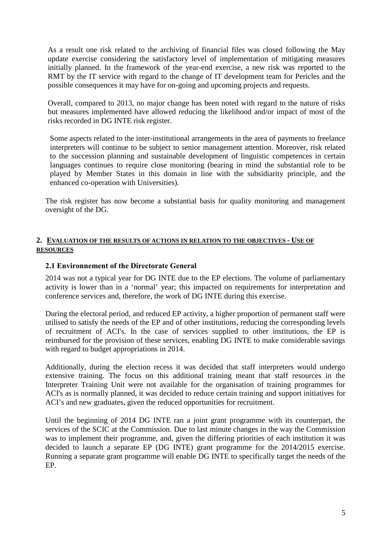As a result one risk related to the archiving of financial files was closed following the May update exercise considering the satisfactory level of implementation of mitigating measures initially planned. In the framework of the year-end exercise, a new risk was reported to the RMT by the IT service with regard to the change of IT development team for Pericles and the possible consequences it may have for on-going and upcoming projects and requests.

Overall, compared to 2013, no major change has been noted with regard to the nature of risks but measures implemented have allowed reducing the likelihood and/or impact of most of the risks recorded in DG INTE risk register.

Some aspects related to the inter-institutional arrangements in the area of payments to freelance interpreters will continue to be subject to senior management attention. Moreover, risk related to the succession planning and sustainable development of linguistic competences in certain languages continues to require close monitoring (bearing in mind the substantial role to be played by Member States in this domain in line with the subsidiarity principle, and the enhanced co-operation with Universities).

The risk register has now become a substantial basis for quality monitoring and management oversight of the DG.

#### **2. EVALUATION OF THE RESULTS OF ACTIONS IN RELATION TO THE OBJECTIVES - USE OF RESOURCES**

#### **2.1 Environnement of the Directorate General**

2014 was not a typical year for DG INTE due to the EP elections. The volume of parliamentary activity is lower than in a 'normal' year; this impacted on requirements for interpretation and conference services and, therefore, the work of DG INTE during this exercise.

During the electoral period, and reduced EP activity, a higher proportion of permanent staff were utilised to satisfy the needs of the EP and of other institutions, reducing the corresponding levels of recruitment of ACI's. In the case of services supplied to other institutions, the EP is reimbursed for the provision of these services, enabling DG INTE to make considerable savings with regard to budget appropriations in 2014.

Additionally, during the election recess it was decided that staff interpreters would undergo extensive training. The focus on this additional training meant that staff resources in the Interpreter Training Unit were not available for the organisation of training programmes for ACI's as is normally planned, it was decided to reduce certain training and support initiatives for ACI's and new graduates, given the reduced opportunities for recruitment.

Until the beginning of 2014 DG INTE ran a joint grant programme with its counterpart, the services of the SCIC at the Commission. Due to last minute changes in the way the Commission was to implement their programme, and, given the differing priorities of each institution it was decided to launch a separate EP (DG INTE) grant programme for the 2014/2015 exercise. Running a separate grant programme will enable DG INTE to specifically target the needs of the EP.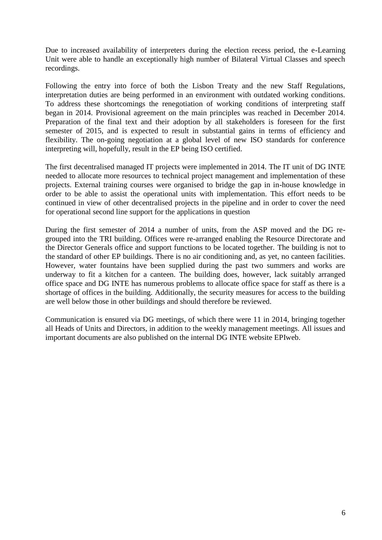Due to increased availability of interpreters during the election recess period, the e-Learning Unit were able to handle an exceptionally high number of Bilateral Virtual Classes and speech recordings.

Following the entry into force of both the Lisbon Treaty and the new Staff Regulations, interpretation duties are being performed in an environment with outdated working conditions. To address these shortcomings the renegotiation of working conditions of interpreting staff began in 2014. Provisional agreement on the main principles was reached in December 2014. Preparation of the final text and their adoption by all stakeholders is foreseen for the first semester of 2015, and is expected to result in substantial gains in terms of efficiency and flexibility. The on-going negotiation at a global level of new ISO standards for conference interpreting will, hopefully, result in the EP being ISO certified.

The first decentralised managed IT projects were implemented in 2014. The IT unit of DG INTE needed to allocate more resources to technical project management and implementation of these projects. External training courses were organised to bridge the gap in in-house knowledge in order to be able to assist the operational units with implementation. This effort needs to be continued in view of other decentralised projects in the pipeline and in order to cover the need for operational second line support for the applications in question

During the first semester of 2014 a number of units, from the ASP moved and the DG re grouped into the TRI building. Offices were re-arranged enabling the Resource Directorate and the Director Generals office and support functions to be located together. The building is not to the standard of other EP buildings. There is no air conditioning and, as yet, no canteen facilities. However, water fountains have been supplied during the past two summers and works are underway to fit a kitchen for a canteen. The building does, however, lack suitably arranged office space and DG INTE has numerous problems to allocate office space for staff as there is a shortage of offices in the building. Additionally, the security measures for access to the building are well below those in other buildings and should therefore be reviewed.

Communication is ensured via DG meetings, of which there were 11 in 2014, bringing together all Heads of Units and Directors, in addition to the weekly management meetings. All issues and important documents are also published on the internal DG INTE website EPIweb.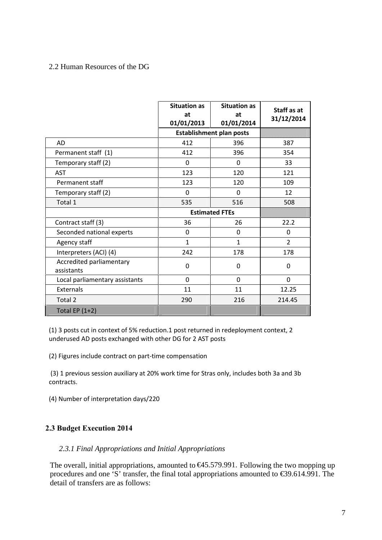#### 2.2 Human Resources of the DG

|                                        | <b>Situation as</b><br>at<br>01/01/2013 | <b>Situation as</b><br>at<br>01/01/2014 | Staff as at<br>31/12/2014 |
|----------------------------------------|-----------------------------------------|-----------------------------------------|---------------------------|
|                                        |                                         | <b>Establishment plan posts</b>         |                           |
| <b>AD</b>                              | 412                                     | 396                                     | 387                       |
| Permanent staff (1)                    | 412                                     | 396                                     | 354                       |
| Temporary staff (2)                    | 0                                       | 0                                       | 33                        |
| <b>AST</b>                             | 123                                     | 120                                     | 121                       |
| Permanent staff                        | 123                                     | 120                                     | 109                       |
| Temporary staff (2)                    | $\Omega$                                | $\Omega$                                | 12                        |
| Total 1                                | 535                                     | 516                                     | 508                       |
|                                        |                                         | <b>Estimated FTEs</b>                   |                           |
| Contract staff (3)                     | 36                                      | 26                                      | 22.2                      |
| Seconded national experts              | 0                                       | 0                                       | 0                         |
| Agency staff                           | 1                                       | $\mathbf{1}$                            | $\overline{2}$            |
| Interpreters (ACI) (4)                 | 242                                     | 178                                     | 178                       |
| Accredited parliamentary<br>assistants | 0                                       | 0                                       | $\Omega$                  |
| Local parliamentary assistants         | 0                                       | $\Omega$                                | $\mathbf 0$               |
| Externals                              | 11                                      | 11                                      | 12.25                     |
| Total 2                                | 290                                     | 216                                     | 214.45                    |
| Total EP $(1+2)$                       |                                         |                                         |                           |

(1) 3 posts cut in context of 5% reduction.1 post returned in redeployment context, 2 underused AD posts exchanged with other DG for 2 AST posts

(2) Figures include contract on part-time compensation

(3) 1 previous session auxiliary at 20% work time for Stras only, includes both 3a and 3b contracts.

(4) Number of interpretation days/220

#### **2.3 Budget Execution 2014**

#### *2.3.1 Final Appropriations and Initial Appropriations*

The overall, initial appropriations, amounted to €45.579.991. Following the two mopping up procedures and one 'S' transfer, the final total appropriations amounted to  $\epsilon$ 39.614.991. The detail of transfers are as follows: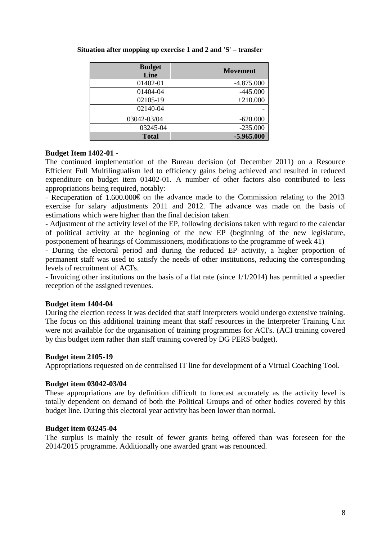| <b>Budget</b><br>Line | <b>Movement</b> |
|-----------------------|-----------------|
| 01402-01              | $-4.875.000$    |
| 01404-04              | $-445.000$      |
| 02105-19              | $+210.000$      |
| 02140-04              |                 |
| 03042-03/04           | $-620.000$      |
| 03245-04              | $-235.000$      |
| <b>Total</b>          | $-5.965.000$    |

#### **Situation after mopping up exercise 1 and 2 and 'S' – transfer**

#### **Budget Item 1402-01 -**

The continued implementation of the Bureau decision (of December 2011) on a Resource Efficient Full Multilingualism led to efficiency gains being achieved and resulted in reduced expenditure on budget item 01402-01. A number of other factors also contributed to less appropriations being required, notably:

- Recuperation of 1.600.000€ on the advance made to the Commission relating to the 2013 exercise for salary adjustments 2011 and 2012. The advance was made on the basis of estimations which were higher than the final decision taken.

- Adjustment of the activity level of the EP, following decisions taken with regard to the calendar of political activity at the beginning of the new EP (beginning of the new legislature, postponement of hearings of Commissioners, modifications to the programme of week 41)

- During the electoral period and during the reduced EP activity, a higher proportion of permanent staff was used to satisfy the needs of other institutions, reducing the corresponding levels of recruitment of ACI's.

- Invoicing other institutions on the basis of a flat rate (since 1/1/2014) has permitted a speedier reception of the assigned revenues.

#### **Budget item 1404-04**

During the election recess it was decided that staff interpreters would undergo extensive training. The focus on this additional training meant that staff resources in the Interpreter Training Unit were not available for the organisation of training programmes for ACI's. (ACI training covered by this budget item rather than staff training covered by DG PERS budget).

#### **Budget item 2105-19**

Appropriations requested on de centralised IT line for development of a Virtual Coaching Tool.

#### **Budget item 03042-03/04**

These appropriations are by definition difficult to forecast accurately as the activity level is totally dependent on demand of both the Political Groups and of other bodies covered by this budget line. During this electoral year activity has been lower than normal.

#### **Budget item 03245-04**

The surplus is mainly the result of fewer grants being offered than was foreseen for the 2014/2015 programme. Additionally one awarded grant was renounced.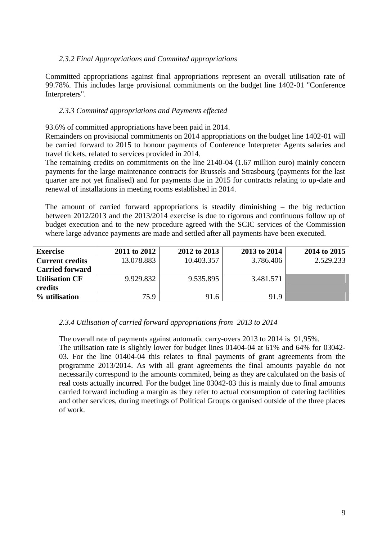#### *2.3.2 Final Appropriations and Commited appropriations*

Committed appropriations against final appropriations represent an overall utilisation rate of 99.78%. This includes large provisional commitments on the budget line 1402-01 "Conference Interpreters".

#### *2.3.3 Commited appropriations and Payments effected*

93.6% of committed appropriations have been paid in 2014.

Remainders on provisional commitments on 2014 appropriations on the budget line 1402-01 will be carried forward to 2015 to honour payments of Conference Interpreter Agents salaries and travel tickets, related to services provided in 2014.

The remaining credits on commitments on the line 2140-04 (1.67 million euro) mainly concern payments for the large maintenance contracts for Brussels and Strasbourg (payments for the last quarter are not yet finalised) and for payments due in 2015 for contracts relating to up-date and renewal of installations in meeting rooms established in 2014.

The amount of carried forward appropriations is steadily diminishing – the big reduction between 2012/2013 and the 2013/2014 exercise is due to rigorous and continuous follow up of budget execution and to the new procedure agreed with the SCIC services of the Commission where large advance payments are made and settled after all payments have been executed.

| <b>Exercise</b>        | 2011 to 2012 | 2012 to 2013 | 2013 to 2014 | 2014 to 2015 |
|------------------------|--------------|--------------|--------------|--------------|
| <b>Current credits</b> | 13.078.883   | 10.403.357   | 3.786.406    | 2.529.233    |
| <b>Carried forward</b> |              |              |              |              |
| <b>Utilisation CF</b>  | 9.929.832    | 9.535.895    | 3.481.571    |              |
| credits                |              |              |              |              |
| % utilisation          | 75.9         | 91.6         | 91.9         |              |

#### *2.3.4 Utilisation of carried forward appropriations from 2013 to 2014*

The overall rate of payments against automatic carry-overs 2013 to 2014 is 91,95%.

The utilisation rate is slightly lower for budget lines 01404-04 at 61% and 64% for 03042- 03. For the line 01404-04 this relates to final payments of grant agreements from the programme 2013/2014. As with all grant agreements the final amounts payable do not necessarily correspond to the amounts commited, being as they are calculated on the basis of real costs actually incurred. For the budget line 03042-03 this is mainly due to final amounts carried forward including a margin as they refer to actual consumption of catering facilities and other services, during meetings of Political Groups organised outside of the three places of work.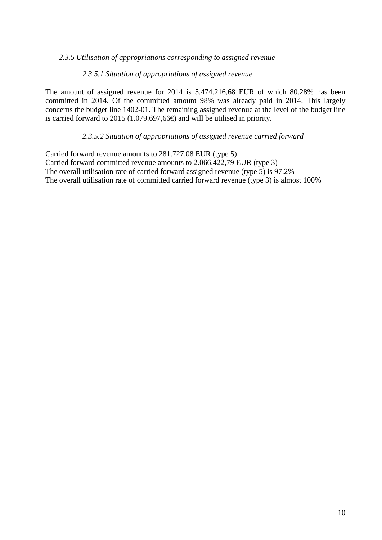#### *2.3.5 Utilisation of appropriations corresponding to assigned revenue*

#### *2.3.5.1 Situation of appropriations of assigned revenue*

The amount of assigned revenue for 2014 is 5.474.216,68 EUR of which 80.28% has been committed in 2014. Of the committed amount 98% was already paid in 2014. This largely concerns the budget line 1402-01. The remaining assigned revenue at the level of the budget line is carried forward to 2015 (1.079.697,66€) and will be utilised in priority.

#### *2.3.5.2 Situation of appropriations of assigned revenue carried forward*

Carried forward revenue amounts to 281.727,08 EUR (type 5) Carried forward committed revenue amounts to 2.066.422,79 EUR (type 3) The overall utilisation rate of carried forward assigned revenue (type 5) is 97.2% The overall utilisation rate of committed carried forward revenue (type 3) is almost 100%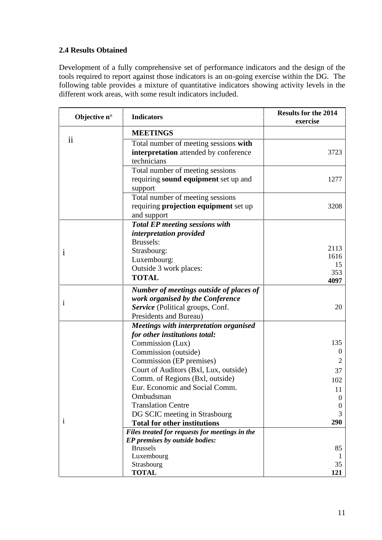# **2.4 Results Obtained**

Development of a fully comprehensive set of performance indicators and the design of the tools required to report against those indicators is an on-going exercise within the DG. The following table provides a mixture of quantitative indicators showing activity levels in the different work areas, with some result indicators included.

| Objective n°             | <b>Indicators</b>                              | <b>Results for the 2014</b><br>exercise |
|--------------------------|------------------------------------------------|-----------------------------------------|
|                          | <b>MEETINGS</b>                                |                                         |
| $\overline{\mathbf{ii}}$ | Total number of meeting sessions with          |                                         |
|                          | interpretation attended by conference          | 3723                                    |
|                          | technicians                                    |                                         |
|                          | Total number of meeting sessions               |                                         |
|                          | requiring <b>sound equipment</b> set up and    | 1277                                    |
|                          | support                                        |                                         |
|                          | Total number of meeting sessions               |                                         |
|                          | requiring projection equipment set up          | 3208                                    |
|                          | and support                                    |                                         |
|                          | <b>Total EP meeting sessions with</b>          |                                         |
|                          | interpretation provided                        |                                         |
|                          | Brussels:                                      |                                         |
| 1                        | Strasbourg:                                    | 2113                                    |
|                          | Luxembourg:                                    | 1616                                    |
|                          | Outside 3 work places:                         | 15                                      |
|                          | <b>TOTAL</b>                                   | 353                                     |
|                          |                                                | 4097                                    |
|                          | Number of meetings outside of places of        |                                         |
| $\bf i$                  | work organised by the Conference               |                                         |
|                          | Service (Political groups, Conf.               | 20                                      |
|                          | Presidents and Bureau)                         |                                         |
|                          | Meetings with interpretation organised         |                                         |
|                          | for other institutions total:                  |                                         |
|                          | Commission (Lux)                               | 135                                     |
|                          | Commission (outside)                           | $\boldsymbol{0}$                        |
|                          | Commission (EP premises)                       | 2                                       |
|                          | Court of Auditors (Bxl, Lux, outside)          | 37                                      |
|                          | Comm. of Regions (Bxl, outside)                | 102                                     |
|                          | Eur. Economic and Social Comm.                 | 11                                      |
|                          | Ombudsman                                      | $\boldsymbol{0}$                        |
|                          | <b>Translation Centre</b>                      | 0                                       |
|                          | DG SCIC meeting in Strasbourg                  | 3                                       |
| 1                        | <b>Total for other institutions</b>            | 290                                     |
|                          | Files treated for requests for meetings in the |                                         |
|                          | EP premises by outside bodies:                 |                                         |
|                          | <b>Brussels</b>                                | 85                                      |
|                          | Luxembourg                                     |                                         |
|                          | Strasbourg                                     | 35                                      |
|                          | <b>TOTAL</b>                                   | 121                                     |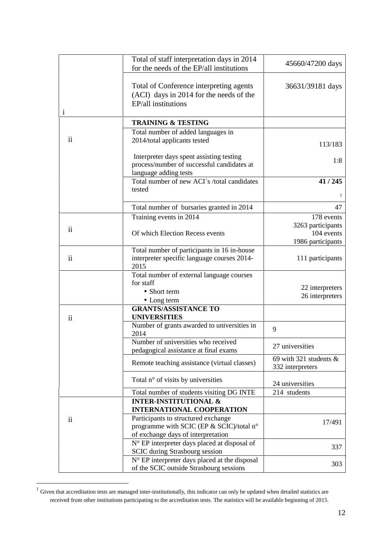|               | Total of staff interpretation days in 2014<br>for the needs of the EP/all institutions                                | 45660/47200 days                                     |
|---------------|-----------------------------------------------------------------------------------------------------------------------|------------------------------------------------------|
|               | Total of Conference interpreting agents<br>(ACI) days in 2014 for the needs of the<br>EP/all institutions             | 36631/39181 days                                     |
| $\mathbf{1}$  | <b>TRAINING &amp; TESTING</b>                                                                                         |                                                      |
|               | Total number of added languages in                                                                                    |                                                      |
| $\mathbf{ii}$ | 2014/total applicants tested                                                                                          | 113/183                                              |
|               | Interpreter days spent assisting testing<br>process/number of successful candidates at<br>language adding tests       | 1:8                                                  |
|               | Total number of new ACI's /total candidates<br>tested                                                                 | 41 / 245<br>1                                        |
|               | Total number of bursaries granted in 2014                                                                             | 47                                                   |
|               | Training events in 2014                                                                                               | 178 events                                           |
| ii            | Of which Election Recess events                                                                                       | 3263 participants<br>104 events<br>1986 participants |
| ii            | Total number of participants in 16 in-house<br>interpreter specific language courses 2014-<br>2015                    | 111 participants                                     |
|               | Total number of external language courses                                                                             |                                                      |
|               | for staff                                                                                                             |                                                      |
|               | • Short term                                                                                                          | 22 interpreters                                      |
|               | • Long term                                                                                                           | 26 interpreters                                      |
| ii            | <b>GRANTS/ASSISTANCE TO</b><br><b>UNIVERSITIES</b>                                                                    |                                                      |
|               | Number of grants awarded to universities in<br>2014                                                                   | 9                                                    |
|               | Number of universities who received<br>pedagogical assistance at final exams                                          | 27 universities                                      |
|               | Remote teaching assistance (virtual classes)                                                                          | 69 with 321 students $\&$<br>332 interpreters        |
|               | Total n° of visits by universities                                                                                    | 24 universities                                      |
|               | Total number of students visiting DG INTE                                                                             | 214 students                                         |
|               | <b>INTER-INSTITUTIONAL &amp;</b><br><b>INTERNATIONAL COOPERATION</b>                                                  |                                                      |
| ii            | Participants to structured exchange<br>programme with SCIC (EP & SCIC)/total n°<br>of exchange days of interpretation | 17/491                                               |
|               | N° EP interpreter days placed at disposal of<br><b>SCIC</b> during Strasbourg session                                 | 337                                                  |
|               | N° EP interpreter days placed at the disposal<br>of the SCIC outside Strasbourg sessions                              | 303                                                  |

 $1$  Given that accreditation tests are managed inter-institutionally, this indicator can only be updated when detailed statistics are received from other institutions participating to the accreditation tests. The statistics will be available beginning of 2015.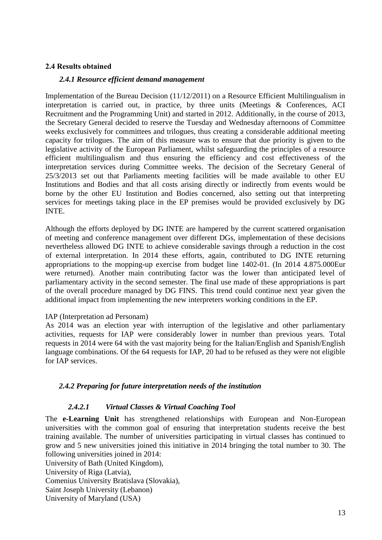#### **2.4 Results obtained**

#### *2.4.1 Resource efficient demand management*

Implementation of the Bureau Decision (11/12/2011) on a Resource Efficient Multilingualism in interpretation is carried out, in practice, by three units (Meetings & Conferences, ACI Recruitment and the Programming Unit) and started in 2012. Additionally, in the course of 2013, the Secretary General decided to reserve the Tuesday and Wednesday afternoons of Committee weeks exclusively for committees and trilogues, thus creating a considerable additional meeting capacity for trilogues. The aim of this measure was to ensure that due priority is given to the legislative activity of the European Parliament, whilst safeguarding the principles of a resource efficient multilingualism and thus ensuring the efficiency and cost effectiveness of the interpretation services during Committee weeks. The decision of the Secretary General of 25/3/2013 set out that Parliaments meeting facilities will be made available to other EU Institutions and Bodies and that all costs arising directly or indirectly from events would be borne by the other EU Institution and Bodies concerned, also setting out that interpreting services for meetings taking place in the EP premises would be provided exclusively by DG INTE.

Although the efforts deployed by DG INTE are hampered by the current scattered organisation of meeting and conference management over different DGs, implementation of these decisions nevertheless allowed DG INTE to achieve considerable savings through a reduction in the cost of external interpretation. In 2014 these efforts, again, contributed to DG INTE returning appropriations to the mopping-up exercise from budget line 1402-01. (In 2014 4.875.000Eur were returned). Another main contributing factor was the lower than anticipated level of parliamentary activity in the second semester. The final use made of these appropriations is part of the overall procedure managed by DG FINS. This trend could continue next year given the additional impact from implementing the new interpreters working conditions in the EP.

#### IAP (Interpretation ad Personam)

As 2014 was an election year with interruption of the legislative and other parliamentary activities, requests for IAP were considerably lower in number than previous years. Total requests in 2014 were 64 with the vast majority being for the Italian/English and Spanish/English language combinations. Of the 64 requests for IAP, 20 had to be refused as they were not eligible for IAP services.

#### *2.4.2 Preparing for future interpretation needs of the institution*

#### *2.4.2.1 Virtual Classes & Virtual Coaching Tool*

The **e-Learning Unit** has strengthened relationships with European and Non-European universities with the common goal of ensuring that interpretation students receive the best training available. The number of universities participating in virtual classes has continued to grow and 5 new universities joined this initiative in 2014 bringing the total number to 30. The following universities joined in 2014:

University of Bath (United Kingdom), University of Riga (Latvia), Comenius University Bratislava (Slovakia), Saint Joseph University (Lebanon) University of Maryland (USA)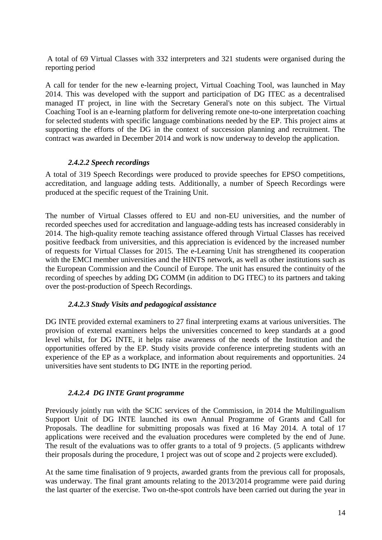A total of 69 Virtual Classes with 332 interpreters and 321 students were organised during the reporting period

A call for tender for the new e-learning project, Virtual Coaching Tool, was launched in May 2014. This was developed with the support and participation of DG ITEC as a decentralised managed IT project, in line with the Secretary General's note on this subject. The Virtual Coaching Tool is an e-learning platform for delivering remote one-to-one interpretation coaching for selected students with specific language combinations needed by the EP. This project aims at supporting the efforts of the DG in the context of succession planning and recruitment. The contract was awarded in December 2014 and work is now underway to develop the application.

#### *2.4.2.2 Speech recordings*

A total of 319 Speech Recordings were produced to provide speeches for EPSO competitions, accreditation, and language adding tests. Additionally, a number of Speech Recordings were produced at the specific request of the Training Unit.

The number of Virtual Classes offered to EU and non-EU universities, and the number of recorded speeches used for accreditation and language-adding tests has increased considerably in 2014. The high-quality remote teaching assistance offered through Virtual Classes has received positive feedback from universities, and this appreciation is evidenced by the increased number of requests for Virtual Classes for 2015. The e-Learning Unit has strengthened its cooperation with the EMCI member universities and the HINTS network, as well as other institutions such as the European Commission and the Council of Europe. The unit has ensured the continuity of the recording of speeches by adding DG COMM (in addition to DG ITEC) to its partners and taking over the post-production of Speech Recordings.

#### *2.4.2.3 Study Visits and pedagogical assistance*

DG INTE provided external examiners to 27 final interpreting exams at various universities. The provision of external examiners helps the universities concerned to keep standards at a good level whilst, for DG INTE, it helps raise awareness of the needs of the Institution and the opportunities offered by the EP. Study visits provide conference interpreting students with an experience of the EP as a workplace, and information about requirements and opportunities. 24 universities have sent students to DG INTE in the reporting period.

#### *2.4.2.4 DG INTE Grant programme*

Previously jointly run with the SCIC services of the Commission, in 2014 the Multilingualism Support Unit of DG INTE launched its own Annual Programme of Grants and Call for Proposals. The deadline for submitting proposals was fixed at 16 May 2014. A total of 17 applications were received and the evaluation procedures were completed by the end of June. The result of the evaluations was to offer grants to a total of 9 projects. (5 applicants withdrew their proposals during the procedure, 1 project was out of scope and 2 projects were excluded).

At the same time finalisation of 9 projects, awarded grants from the previous call for proposals, was underway. The final grant amounts relating to the 2013/2014 programme were paid during the last quarter of the exercise. Two on-the-spot controls have been carried out during the year in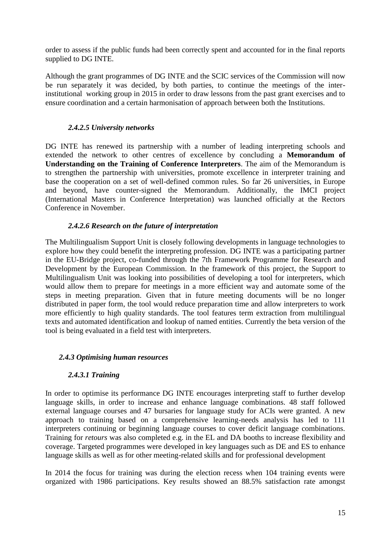order to assess if the public funds had been correctly spent and accounted for in the final reports supplied to DG INTE.

Although the grant programmes of DG INTE and the SCIC services of the Commission will now be run separately it was decided, by both parties, to continue the meetings of the interinstitutional working group in 2015 in order to draw lessons from the past grant exercises and to ensure coordination and a certain harmonisation of approach between both the Institutions.

### *2.4.2.5 University networks*

DG INTE has renewed its partnership with a number of leading interpreting schools and extended the network to other centres of excellence by concluding a **Memorandum of Understanding on the Training of Conference Interpreters**. The aim of the Memorandum is to strengthen the partnership with universities, promote excellence in interpreter training and base the cooperation on a set of well-defined common rules. So far 26 universities, in Europe and beyond, have counter-signed the Memorandum. Additionally, the IMCI project (International Masters in Conference Interpretation) was launched officially at the Rectors Conference in November.

#### *2.4.2.6 Research on the future of interpretation*

The Multilingualism Support Unit is closely following developments in language technologies to explore how they could benefit the interpreting profession. DG INTE was a participating partner in the EU-Bridge project, co-funded through the 7th Framework Programme for Research and Development by the European Commission. In the framework of this project, the Support to Multilingualism Unit was looking into possibilities of developing a tool for interpreters, which would allow them to prepare for meetings in a more efficient way and automate some of the steps in meeting preparation. Given that in future meeting documents will be no longer distributed in paper form, the tool would reduce preparation time and allow interpreters to work more efficiently to high quality standards. The tool features term extraction from multilingual texts and automated identification and lookup of named entities. Currently the beta version of the tool is being evaluated in a field test with interpreters.

#### *2.4.3 Optimising human resources*

# *2.4.3.1 Training*

In order to optimise its performance DG INTE encourages interpreting staff to further develop language skills, in order to increase and enhance language combinations. 48 staff followed external language courses and 47 bursaries for language study for ACIs were granted. A new approach to training based on a comprehensive learning-needs analysis has led to 111 interpreters continuing or beginning language courses to cover deficit language combinations. Training for *retours* was also completed e.g. in the EL and DA booths to increase flexibility and coverage. Targeted programmes were developed in key languages such as DE and ES to enhance language skills as well as for other meeting-related skills and for professional development

In 2014 the focus for training was during the election recess when 104 training events were organized with 1986 participations. Key results showed an 88.5% satisfaction rate amongst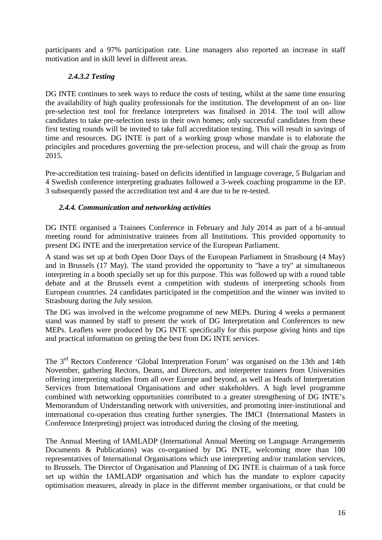participants and a 97% participation rate. Line managers also reported an increase in staff motivation and in skill level in different areas.

### *2.4.3.2 Testing*

DG INTE continues to seek ways to reduce the costs of testing, whilst at the same time ensuring the availability of high quality professionals for the institution. The development of an on- line pre-selection test tool for freelance interpreters was finalised in 2014. The tool will allow candidates to take pre-selection tests in their own homes; only successful candidates from these first testing rounds will be invited to take full accreditation testing. This will result in savings of time and resources. DG INTE is part of a working group whose mandate is to elaborate the principles and procedures governing the pre-selection process, and will chair the group as from 2015.

Pre-accreditation test training- based on deficits identified in language coverage, 5 Bulgarian and 4 Swedish conference interpreting graduates followed a 3-week coaching programme in the EP. 3 subsequently passed the accreditation test and 4 are due to be re-tested.

### *2.4.4. Communication and networking activities*

DG INTE organised a Trainees Conference in February and July 2014 as part of a bi-annual meeting round for administrative trainees from all Institutions. This provided opportunity to present DG INTE and the interpretation service of the European Parliament.

A stand was set up at both Open Door Days of the European Parliament in Strasbourg (4 May) and in Brussels (17 May). The stand provided the opportunity to "have a try'' at simultaneous interpreting in a booth specially set up for this purpose. This was followed up with a round table debate and at the Brussels event a competition with students of interpreting schools from European countries. 24 candidates participated in the competition and the winner was invited to Strasbourg during the July session.

The DG was involved in the welcome programme of new MEPs. During 4 weeks a permanent stand was manned by staff to present the work of DG Interpretation and Conferences to new MEPs. Leaflets were produced by DG INTE specifically for this purpose giving hints and tips and practical information on getting the best from DG INTE services.

The 3<sup>rd</sup> Rectors Conference 'Global Interpretation Forum' was organised on the 13th and 14th November, gathering Rectors, Deans, and Directors, and interpreter trainers from Universities offering interpreting studies from all over Europe and beyond, as well as Heads of Interpretation Services from International Organisations and other stakeholders. A high level programme combined with networking opportunities contributed to a greater strengthening of DG INTE's Memorandum of Understanding network with universities, and promoting inter-institutional and international co-operation thus creating further synergies. The IMCI (International Masters in Conference Interpreting) project was introduced during the closing of the meeting.

The Annual Meeting of IAMLADP (International Annual Meeting on Language Arrangements Documents & Publications) was co-organised by DG INTE, welcoming more than 100 representatives of International Organisations which use interpreting and/or translation services, to Brussels. The Director of Organisation and Planning of DG INTE is chairman of a task force set up within the IAMLADP organisation and which has the mandate to explore capacity optimisation measures, already in place in the different member organisations, or that could be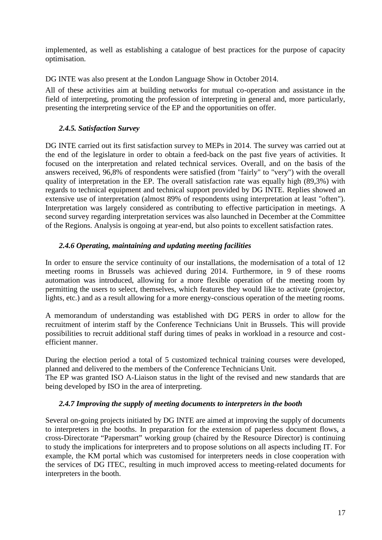implemented, as well as establishing a catalogue of best practices for the purpose of capacity optimisation.

DG INTE was also present at the London Language Show in October 2014.

All of these activities aim at building networks for mutual co-operation and assistance in the field of interpreting, promoting the profession of interpreting in general and, more particularly, presenting the interpreting service of the EP and the opportunities on offer.

### *2.4.5. Satisfaction Survey*

DG INTE carried out its first satisfaction survey to MEPs in 2014. The survey was carried out at the end of the legislature in order to obtain a feed-back on the past five years of activities. It focused on the interpretation and related technical services. Overall, and on the basis of the answers received, 96,8% of respondents were satisfied (from "fairly" to "very") with the overall quality of interpretation in the EP. The overall satisfaction rate was equally high (89,3%) with regards to technical equipment and technical support provided by DG INTE. Replies showed an extensive use of interpretation (almost 89% of respondents using interpretation at least "often"). Interpretation was largely considered as contributing to effective participation in meetings. A second survey regarding interpretation services was also launched in December at the Committee of the Regions. Analysis is ongoing at year-end, but also points to excellent satisfaction rates.

### *2.4.6 Operating, maintaining and updating meeting facilities*

In order to ensure the service continuity of our installations, the modernisation of a total of 12 meeting rooms in Brussels was achieved during 2014. Furthermore, in 9 of these rooms automation was introduced, allowing for a more flexible operation of the meeting room by permitting the users to select, themselves, which features they would like to activate (projector, lights, etc.) and as a result allowing for a more energy-conscious operation of the meeting rooms.

A memorandum of understanding was established with DG PERS in order to allow for the recruitment of interim staff by the Conference Technicians Unit in Brussels. This will provide possibilities to recruit additional staff during times of peaks in workload in a resource and cost efficient manner.

During the election period a total of 5 customized technical training courses were developed, planned and delivered to the members of the Conference Technicians Unit.

The EP was granted ISO A-Liaison status in the light of the revised and new standards that are being developed by ISO in the area of interpreting.

#### *2.4.7 Improving the supply of meeting documents to interpreters in the booth*

Several on-going projects initiated by DG INTE are aimed at improving the supply of documents to interpreters in the booths. In preparation for the extension of paperless document flows, a cross-Directorate "Papersmart" working group (chaired by the Resource Director) is continuing to study the implications for interpreters and to propose solutions on all aspects including IT. For example, the KM portal which was customised for interpreters needs in close cooperation with the services of DG ITEC, resulting in much improved access to meeting-related documents for interpreters in the booth.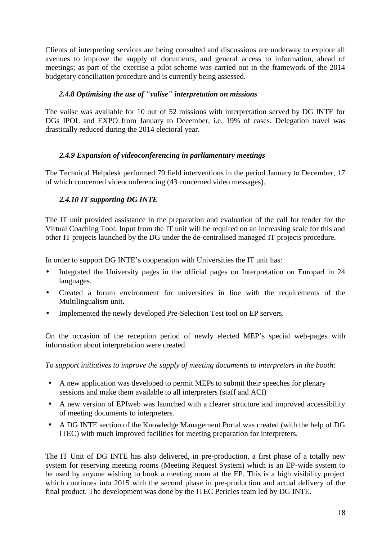Clients of interpreting services are being consulted and discussions are underway to explore all avenues to improve the supply of documents, and general access to information, ahead of meetings; as part of the exercise a pilot scheme was carried out in the framework of the 2014 budgetary conciliation procedure and is currently being assessed.

### *2.4.8 Optimising the use of "valise" interpretation on missions*

The valise was available for 10 out of 52 missions with interpretation served by DG INTE for DGs IPOL and EXPO from January to December, i.e. 19% of cases. Delegation travel was drastically reduced during the 2014 electoral year.

### *2.4.9 Expansion of videoconferencing in parliamentary meetings*

The Technical Helpdesk performed 79 field interventions in the period January to December, 17 of which concerned videoconferencing (43 concerned video messages).

# *2.4.10 IT supporting DG INTE*

The IT unit provided assistance in the preparation and evaluation of the call for tender for the Virtual Coaching Tool. Input from the IT unit will be required on an increasing scale for this and other IT projects launched by the DG under the de-centralised managed IT projects procedure.

In order to support DG INTE's cooperation with Universities the IT unit has:

- Integrated the University pages in the official pages on Interpretation on Europarl in 24 languages.
- Created a forum environment for universities in line with the requirements of the Multilingualism unit.
- Implemented the newly developed Pre-Selection Test tool on EP servers.

On the occasion of the reception period of newly elected MEP's special web-pages with information about interpretation were created.

*To support initiatives to improve the supply of meeting documents to interpreters in the booth:*

- A new application was developed to permit MEPs to submit their speeches for plenary sessions and make them available to all interpreters (staff and ACI)
- A new version of EPIweb was launched with a clearer structure and improved accessibility of meeting documents to interpreters.
- A DG INTE section of the Knowledge Management Portal was created (with the help of DG ITEC) with much improved facilities for meeting preparation for interpreters.

The IT Unit of DG INTE has also delivered, in pre-production, a first phase of a totally new system for reserving meeting rooms (Meeting Request System) which is an EP-wide system to be used by anyone wishing to book a meeting room at the EP. This is a high visibility project which continues into 2015 with the second phase in pre-production and actual delivery of the final product. The development was done by the ITEC Pericles team led by DG INTE.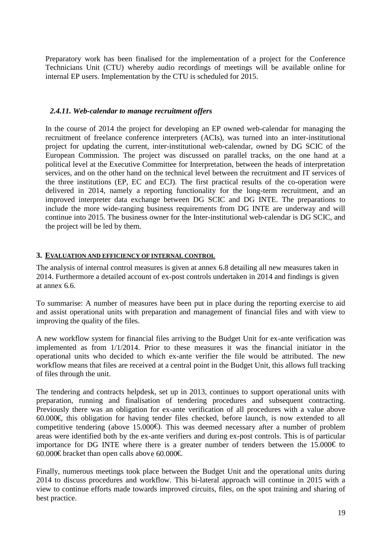Preparatory work has been finalised for the implementation of a project for the Conference Technicians Unit (CTU) whereby audio recordings of meetings will be available online for internal EP users. Implementation by the CTU is scheduled for 2015.

#### *2.4.11. Web-calendar to manage recruitment offers*

In the course of 2014 the project for developing an EP owned web-calendar for managing the recruitment of freelance conference interpreters (ACIs), was turned into an inter-institutional project for updating the current, inter-institutional web-calendar, owned by DG SCIC of the European Commission. The project was discussed on parallel tracks, on the one hand at a political level at the Executive Committee for Interpretation, between the heads of interpretation services, and on the other hand on the technical level between the recruitment and IT services of the three institutions (EP, EC and ECJ). The first practical results of the co-operation were delivered in 2014, namely a reporting functionality for the long-term recruitment, and an improved interpreter data exchange between DG SCIC and DG INTE. The preparations to include the more wide-ranging business requirements from DG INTE are underway and will continue into 2015. The business owner for the Inter-institutional web-calendar is DG SCIC, and the project will be led by them.

#### **3. EVALUATION AND EFFICIENCY OF INTERNAL CONTROL**

The analysis of internal control measures is given at annex 6.8 detailing all new measures taken in 2014. Furthermore a detailed account of ex-post controls undertaken in 2014 and findings is given at annex 6.6.

To summarise: A number of measures have been put in place during the reporting exercise to aid and assist operational units with preparation and management of financial files and with view to improving the quality of the files.

A new workflow system for financial files arriving to the Budget Unit for ex-ante verification was implemented as from 1/1/2014. Prior to these measures it was the financial initiator in the operational units who decided to which ex-ante verifier the file would be attributed. The new workflow means that files are received at a central point in the Budget Unit, this allows full tracking of files through the unit.

The tendering and contracts helpdesk, set up in 2013, continues to support operational units with preparation, running and finalisation of tendering procedures and subsequent contracting. Previously there was an obligation for ex-ante verification of all procedures with a value above 60.000€, this obligation for having tender files checked, before launch, is now extended to all competitive tendering (above 15.000€). This was deemed necessary after a number of problem areas were identified both by the ex-ante verifiers and during ex-post controls. This is of particular importance for DG INTE where there is a greater number of tenders between the  $15.000 \text{ } \in$  to 60.000€ bracket than open calls above 60.000€

Finally, numerous meetings took place between the Budget Unit and the operational units during 2014 to discuss procedures and workflow. This bi-lateral approach will continue in 2015 with a view to continue efforts made towards improved circuits, files, on the spot training and sharing of best practice.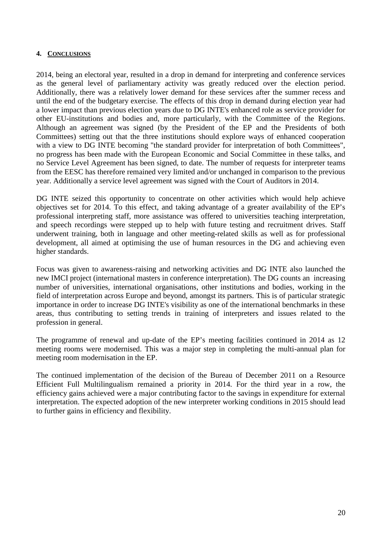#### **4. CONCLUSIONS**

2014, being an electoral year, resulted in a drop in demand for interpreting and conference services as the general level of parliamentary activity was greatly reduced over the election period. Additionally, there was a relatively lower demand for these services after the summer recess and until the end of the budgetary exercise. The effects of this drop in demand during election year had a lower impact than previous election years due to DG INTE's enhanced role as service provider for other EU-institutions and bodies and, more particularly, with the Committee of the Regions. Although an agreement was signed (by the President of the EP and the Presidents of both Committees) setting out that the three institutions should explore ways of enhanced cooperation with a view to DG INTE becoming "the standard provider for interpretation of both Committees". no progress has been made with the European Economic and Social Committee in these talks, and no Service Level Agreement has been signed, to date. The number of requests for interpreter teams from the EESC has therefore remained very limited and/or unchanged in comparison to the previous year. Additionally a service level agreement was signed with the Court of Auditors in 2014.

DG INTE seized this opportunity to concentrate on other activities which would help achieve objectives set for 2014. To this effect, and taking advantage of a greater availability of the EP's professional interpreting staff, more assistance was offered to universities teaching interpretation, and speech recordings were stepped up to help with future testing and recruitment drives. Staff underwent training, both in language and other meeting-related skills as well as for professional development, all aimed at optimising the use of human resources in the DG and achieving even higher standards.

Focus was given to awareness-raising and networking activities and DG INTE also launched the new IMCI project (international masters in conference interpretation). The DG counts an increasing number of universities, international organisations, other institutions and bodies, working in the field of interpretation across Europe and beyond, amongst its partners. This is of particular strategic importance in order to increase DG INTE's visibility as one of the international benchmarks in these areas, thus contributing to setting trends in training of interpreters and issues related to the profession in general.

The programme of renewal and up-date of the EP's meeting facilities continued in 2014 as 12 meeting rooms were modernised. This was a major step in completing the multi-annual plan for meeting room modernisation in the EP.

The continued implementation of the decision of the Bureau of December 2011 on a Resource Efficient Full Multilingualism remained a priority in 2014. For the third year in a row, the efficiency gains achieved were a major contributing factor to the savings in expenditure for external interpretation. The expected adoption of the new interpreter working conditions in 2015 should lead to further gains in efficiency and flexibility.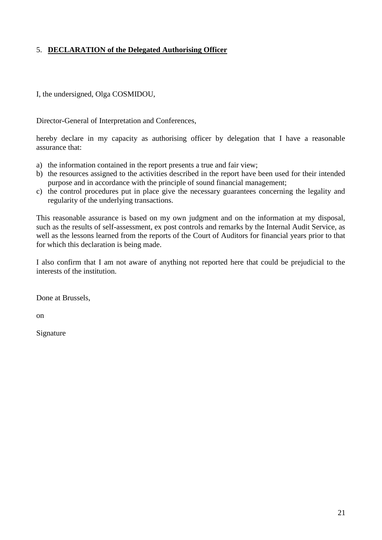### 5. **DECLARATION of the Delegated Authorising Officer**

I, the undersigned, Olga COSMIDOU,

Director-General of Interpretation and Conferences,

hereby declare in my capacity as authorising officer by delegation that I have a reasonable assurance that:

- a) the information contained in the report presents a true and fair view;
- b) the resources assigned to the activities described in the report have been used for their intended purpose and in accordance with the principle of sound financial management;
- c) the control procedures put in place give the necessary guarantees concerning the legality and regularity of the underlying transactions.

This reasonable assurance is based on my own judgment and on the information at my disposal, such as the results of self-assessment, ex post controls and remarks by the Internal Audit Service, as well as the lessons learned from the reports of the Court of Auditors for financial years prior to that for which this declaration is being made.

I also confirm that I am not aware of anything not reported here that could be prejudicial to the interests of the institution.

Done at Brussels,

on

Signature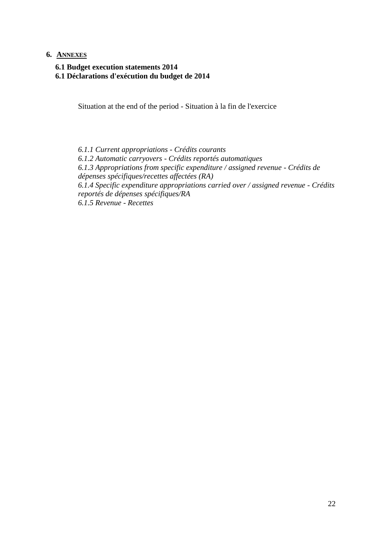#### **6. ANNEXES**

**6.1 Budget execution statements 2014**

**6.1 Déclarations d'exécution du budget de 2014**

Situation at the end of the period - Situation à la fin de l'exercice

*6.1.1 Current appropriations - Crédits courants 6.1.2 Automatic carryovers - Crédits reportés automatiques 6.1.3 Appropriations from specific expenditure / assigned revenue - Crédits de dépenses spécifiques/recettes affectées (RA) 6.1.4 Specific expenditure appropriations carried over / assigned revenue - Crédits reportés de dépenses spécifiques/RA 6.1.5 Revenue - Recettes*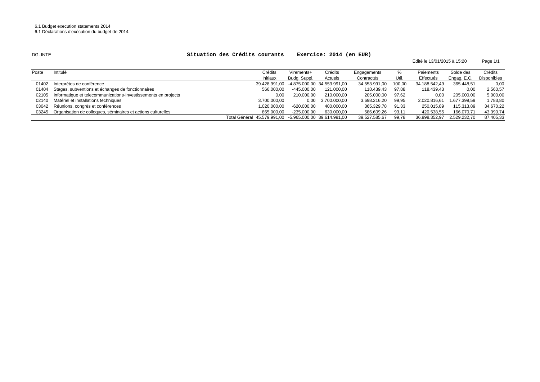#### DG. INTE

#### **Situation des Crédits courants Exercice: 2014 (en EUR)**

Page 1/1 Edité le 13/01/2015 à 15:20

| Poste | Intitulé                                                             | Crédits                                                 | Virements+    | Crédits                                   | Engagements   | %      | Paiements     | Solde des    | Crédits     |
|-------|----------------------------------------------------------------------|---------------------------------------------------------|---------------|-------------------------------------------|---------------|--------|---------------|--------------|-------------|
|       |                                                                      | Initiaux                                                | Budg. Suppl.  | Actuels                                   | Contractés    | Util.  | Effectués     | Engag. E.C.  | Disponibles |
| 01402 | Interprètes de conférence                                            |                                                         |               | 39.428.991,00 -4.875.000,00 34.553.991,00 | 34.553.991,00 | 100,00 | 34.188.542.49 | 365.448,51   | 0,00        |
|       | 01404 Stages, subventions et échanges de fonctionnaires              | 566.000.00                                              | $-445.000,00$ | 121.000,00                                | 118.439,43    | 97,88  | 118.439.43    | 0.00         | 2.560,57    |
|       | 02105 Informatique et telecommunications-Investissements en projects | 0.00                                                    | 210.000.00    | 210.000,00                                | 205.000,00    | 97,62  | 0,00          | 205.000,00   | 5.000,00    |
|       | 02140 Matériel et installations techniques                           | 3.700.000.00                                            | 0.00          | 3.700.000,00                              | 3.698.216.20  | 99,95  | 2.020.816.61  | 1.677.399,59 | 1.783,80    |
|       | 03042 Réunions, congrès et conférences                               | 1.020.000,00                                            | $-620.000,00$ | 400.000,00                                | 365.329,78    | 91,33  | 250.015,89    | 115.313,89   | 34.670,22   |
|       | 03245 Organisation de colloques, séminaires et actions culturelles   | 865.000.00                                              | $-235.000.00$ | 630.000,00                                | 586.609,26    | 93,11  | 420.538,55    | 166.070,71   | 43.390,74   |
|       |                                                                      | Total Général 45.579.991.00 -5.965.000.00 39.614.991.00 |               |                                           | 39.527.585,67 | 99.78  | 36.998.352.97 | 2.529.232.70 | 87.405,33   |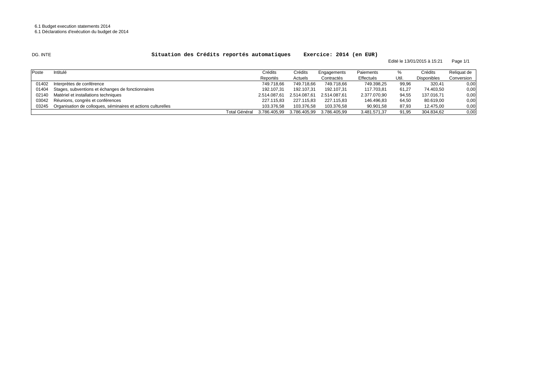#### DG. INTE

#### **Situation des Crédits reportés automatiques Exercice: 2014 (en EUR)**

Edité le 13/01/2015 à 15:21 Page 1/1

| Poste | Intitulé                                                     |               | Crédits      | Crédits      | Engagements  | Paiements    |       | Crédits            | Reliquat de |
|-------|--------------------------------------------------------------|---------------|--------------|--------------|--------------|--------------|-------|--------------------|-------------|
|       |                                                              |               | Reportés     | Actuels      | Contractés   | Effectués    | Util. | <b>Disponibles</b> | Conversion  |
| 01402 | Interprètes de conférence                                    |               | 749.718.66   | 749.718.66   | 749.718,66   | 749.398,25   | 99,96 | 320,41             | 0,00        |
|       | 01404 Stages, subventions et échanges de fonctionnaires      |               | 192.107,31   | 192.107,31   | 192.107,31   | 117.703,81   | 61,27 | 74.403,50          | 0,00        |
|       | 02140 Matériel et installations techniques                   |               | 2.514.087.61 | 2.514.087.61 | 2.514.087,61 | 2.377.070,90 | 94,55 | 137.016,71         | 0,00        |
|       | 03042 Réunions, congrès et conférences                       |               | 227.115.83   | 227.115,83   | 227.115,83   | 146.496,83   | 64,50 | 80.619,00          | 0,00        |
| 03245 | Organisation de colloques, séminaires et actions culturelles |               | 103.376.58   | 103.376.58   | 103.376.58   | 90.901,58    | 87,93 | 12.475,00          | 0,00        |
|       |                                                              | Total Général | 3.786.405.99 | 3.786.405.99 | 3.786.405.99 | 3.481.571.37 | 91,95 | 304.834.62         | 0,00        |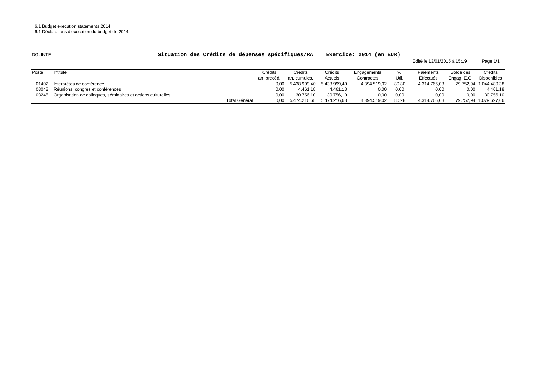#### DG. INTE

#### **Situation des Crédits de dépenses spécifiques/RA Exercice: 2014 (en EUR)**

Page 1/1 Edité le 13/01/2015 à 15:19

| Poste | Intitulé                                                     | Crédits              | Crédits                        | Crédits      | Engagements  |       | Paiements    | Solde des   | Crédits                |
|-------|--------------------------------------------------------------|----------------------|--------------------------------|--------------|--------------|-------|--------------|-------------|------------------------|
|       |                                                              | an. précéd.          | an. cumulés.                   | Actuels      | Contractés   | Util. | Effectués    | Engag. E.C. | <b>Disponibles</b>     |
| 01402 | Interprètes de conférence                                    | 0.00                 | 5.438.999,40                   | 5.438.999.40 | 4.394.519,02 | 80,80 | 4.314.766,08 |             | 79.752,94 1.044.480,38 |
|       | 03042 Réunions, congrès et conférences                       | 0,00                 | 4.461.18                       | 4.461.18     | 0,00         | 0,00  | 0,00         | 0.00        | 4.461.18               |
| 03245 | Organisation de colloques, séminaires et actions culturelles | 0.00                 | 30.756.10                      | 30.756.10    | 0,00         | 0.00  | 0,00         | 0.00        | 30.756.10              |
|       |                                                              | <b>Total Général</b> | 0,00 5.474.216,68 5.474.216,68 |              | 4.394.519.02 | 80,28 | 4.314.766.08 |             | 79.752.94 1.079.697.66 |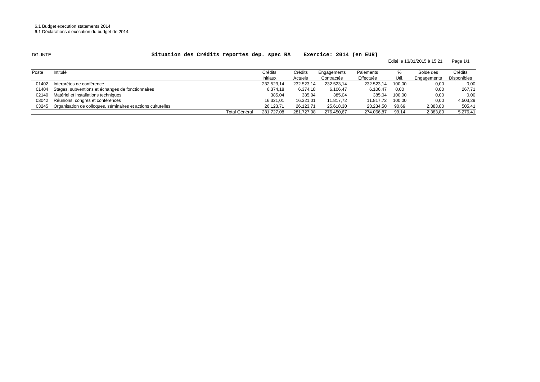#### DG. INTE

#### **Situation des Crédits reportes dep. spec RA Exercice: 2014 (en EUR)**

Edité le 13/01/2015 à 15:21 Page 1/1

| Poste | Intitulé                                                     |                      | Crédits    | Crédits    | Engagements | Paiements  |        | Solde des   | Crédits     |
|-------|--------------------------------------------------------------|----------------------|------------|------------|-------------|------------|--------|-------------|-------------|
|       |                                                              |                      | Initiaux   | Actuels    | Contractés  | Effectués  | Util.  | Engagements | Disponibles |
| 01402 | Interprètes de conférence                                    |                      | 232.523,14 | 232.523.14 | 232.523,14  | 232.523,14 | 100.00 | 0,00        | 0,00        |
| 01404 | Stages, subventions et échanges de fonctionnaires            |                      | 6.374.18   | 6.374,18   | 6.106.47    | 6.106,47   | 0,00   | 0,00        | 267,71      |
|       | 02140 Matériel et installations techniques                   |                      | 385.04     | 385.04     | 385.04      | 385.04     | 100.00 | 0,00        | 0,00        |
|       | 03042 Réunions, congrès et conférences                       |                      | 16.321,01  | 16.321,01  | 11.817,72   | 11.817.72  | 100,00 | 0,00        | 4.503,29    |
| 03245 | Organisation de colloques, séminaires et actions culturelles |                      | 26.123.71  | 26.123,71  | 25.618,30   | 23.234,50  | 90,69  | 2.383,80    | 505,41      |
|       |                                                              | <b>Total Général</b> | 281.727.08 | 281.727.08 | 276.450.67  | 274.066,87 | 99,14  | 2.383,80    | 5.276,41    |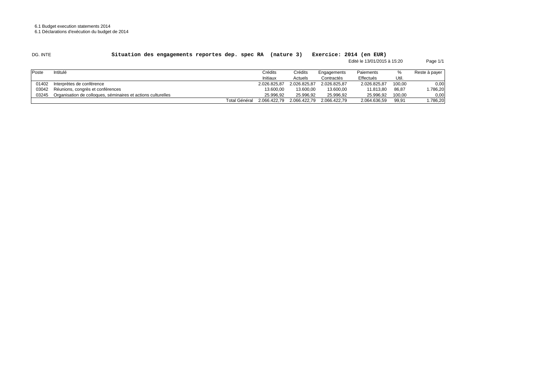6.1 Budget execution statements 2014

6.1 Déclarations d'exécution du budget de 2014

| DG. INTE |
|----------|
|----------|

#### **Situation des engagements reportes dep. spec RA (nature 3) Exercice: 2014 (en EUR)**

 Page 1/1 Edité le 13/01/2015 à 15:20

| <b>Poste</b> | Intitulé                                                     |               | Crédits      | Crédits      | Engagements  | Paiements    | %      | Reste à payer |
|--------------|--------------------------------------------------------------|---------------|--------------|--------------|--------------|--------------|--------|---------------|
|              |                                                              |               | Initiaux     | Actuels      | Contractés   | Effectués    | Util.  |               |
| 01402        | Interprètes de conférence                                    |               | 2.026.825,87 | 2.026.825.87 | 2.026.825.87 | 2.026.825.87 | 100,00 | 0,00          |
| 03042        | Réunions, congrès et conférences                             |               | 13.600,00    | 13.600,00    | 13.600,00    | 11.813.80    | 86,87  | 1.786,20      |
| 03245        | Organisation de colloques, séminaires et actions culturelles |               | 25.996.92    | 25.996.92    | 25.996.92    | 25.996.92    | 100,00 | 0,00          |
|              |                                                              | Total Général | 2.066.422.79 | 2.066.422.79 | 2.066.422.79 | 2.064.636,59 | 99,91  | 1.786,20      |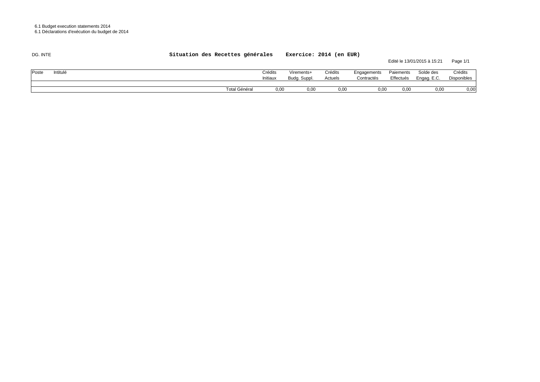| DG. INTE          | Situation des Recettes générales |                     | Exercice: 2014 (en EUR)    |                    |                           |                        | Edité le 13/01/2015 à 15:21 | Page 1/1               |
|-------------------|----------------------------------|---------------------|----------------------------|--------------------|---------------------------|------------------------|-----------------------------|------------------------|
| Intitulé<br>Poste |                                  | Crédits<br>Initiaux | Virements+<br>Budg. Suppl. | Crédits<br>Actuels | Engagements<br>Contractés | Paiements<br>Effectués | Solde des<br>Engag. E.C.    | Crédits<br>Disponibles |
|                   | <b>Total Général</b>             | 0,00                | 0,00                       | 0,00               | 0.00                      | 0,00                   | 0,00                        | 0,00                   |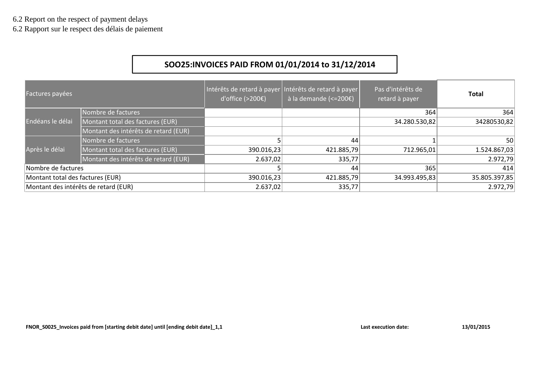6.2 Rapport sur le respect des délais de paiement

# **SOO25:INVOICES PAID FROM 01/01/2014 to 31/12/2014**

| Factures payées                  |                                      | d'office $(>200)$ | Intérêts de retard à payer Intérêts de retard à payer<br>$\frac{1}{2}$ à la demande (<=200€) | Pas d'intérêts de<br>retard à payer | Total         |
|----------------------------------|--------------------------------------|-------------------|----------------------------------------------------------------------------------------------|-------------------------------------|---------------|
|                                  | Nombre de factures                   |                   |                                                                                              | 364                                 | 364           |
| Endéans le délai                 | Montant total des factures (EUR)     |                   |                                                                                              | 34.280.530,82                       | 34280530,82   |
|                                  | Montant des intérêts de retard (EUR) |                   |                                                                                              |                                     |               |
|                                  | Nombre de factures                   |                   | 44                                                                                           |                                     | 50            |
| Après le délai                   | Montant total des factures (EUR)     | 390.016,23        | 421.885,79                                                                                   | 712.965,01                          | 1.524.867,03  |
|                                  | Montant des intérêts de retard (EUR) | 2.637,02          | 335,77                                                                                       |                                     | 2.972,79      |
| Nombre de factures               |                                      |                   | 44                                                                                           | 365                                 | 414           |
| Montant total des factures (EUR) |                                      | 390.016,23        | 421.885,79                                                                                   | 34.993.495,83                       | 35.805.397,85 |
|                                  | Montant des intérêts de retard (EUR) | 2.637,02          | 335,77                                                                                       |                                     | 2.972,79      |

**FNOR\_S0025\_Invoices paid from [starting debit date] until [ending debit date]\_1,1 Last execution date: 13/01/2015**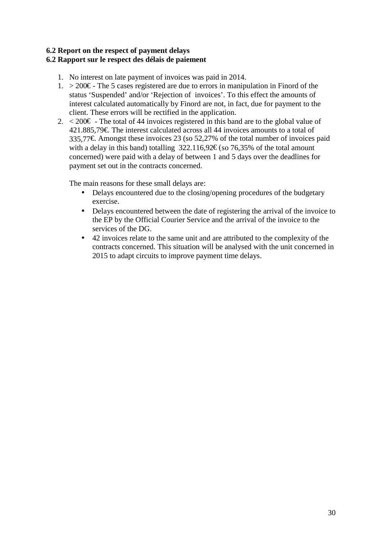# **6.2 Report on the respect of payment delays**

# **6.2 Rapport sur le respect des délais de paiement**

- 1. No interest on late payment of invoices was paid in 2014.
- 1. > 200€ The 5 cases registered are due to errors in manipulation in Finord of the status 'Suspended' and/or 'Rejection of invoices'. To this effect the amounts of interest calculated automatically by Finord are not, in fact, due for payment to the client. These errors will be rectified in the application.
- 2.  $\leq$  200€ The total of 44 invoices registered in this band are to the global value of 421.885,79€. The interest calculated across all 44 invoices amounts to a total of 335,77€. Amongst these invoices 23 (so 52,27% of the total number of invoices paid with a delay in this band) totalling  $322.116,92 \in \text{(so 76,35\% of the total amount)}$ concerned) were paid with a delay of between 1 and 5 days over the deadlines for payment set out in the contracts concerned.

The main reasons for these small delays are:

- Delays encountered due to the closing/opening procedures of the budgetary exercise.
- Delays encountered between the date of registering the arrival of the invoice to the EP by the Official Courier Service and the arrival of the invoice to the services of the DG.
- 42 invoices relate to the same unit and are attributed to the complexity of the contracts concerned. This situation will be analysed with the unit concerned in 2015 to adapt circuits to improve payment time delays.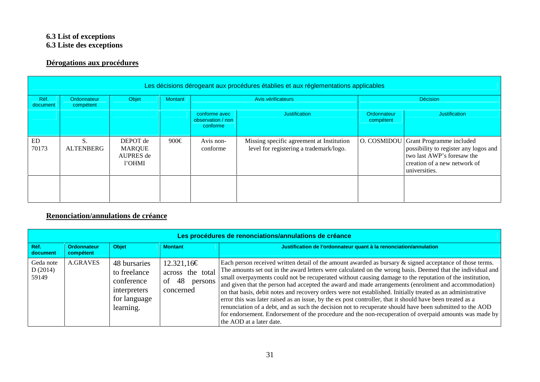#### **6.3 List of exceptions 6.3 Liste des exceptions**

# **Dérogations aux procédures**

|                    |                          |                                                  |                |                                                | Les décisions dérogeant aux procédures établies et aux réglementations applicables   |                                 |                                                                                                                                                         |
|--------------------|--------------------------|--------------------------------------------------|----------------|------------------------------------------------|--------------------------------------------------------------------------------------|---------------------------------|---------------------------------------------------------------------------------------------------------------------------------------------------------|
| Réf.<br>document   | Ordonnateur<br>compétent | Objet                                            | <b>Montant</b> | Avis vérificateurs                             |                                                                                      |                                 | <b>Décision</b>                                                                                                                                         |
|                    |                          |                                                  |                | conforme avec<br>observation / non<br>conforme | Justification                                                                        | <b>Ordonnateur</b><br>compétent | Justification                                                                                                                                           |
| <b>ED</b><br>70173 | S.<br><b>ALTENBERG</b>   | DEPOT de<br><b>MARQUE</b><br>AUPRES de<br>l'OHMI | 900€           | Avis non-<br>conforme                          | Missing specific agreement at Institution<br>level for registering a trademark/logo. | O. COSMIDOU                     | <b>Grant Programme included</b><br>possibility to register any logos and<br>two last AWP's foresaw the<br>creation of a new network of<br>universities. |
|                    |                          |                                                  |                |                                                |                                                                                      |                                 |                                                                                                                                                         |

# **Renonciation/annulations de créance**

|                               | Les procédures de renonciations/annulations de créance |                                                                                         |                                                                    |                                                                                                                                                                                                                                                                                                                                                                                                                                                                                                                                                                                                                                                                                                                                                                                                                                                                                                                              |  |  |  |
|-------------------------------|--------------------------------------------------------|-----------------------------------------------------------------------------------------|--------------------------------------------------------------------|------------------------------------------------------------------------------------------------------------------------------------------------------------------------------------------------------------------------------------------------------------------------------------------------------------------------------------------------------------------------------------------------------------------------------------------------------------------------------------------------------------------------------------------------------------------------------------------------------------------------------------------------------------------------------------------------------------------------------------------------------------------------------------------------------------------------------------------------------------------------------------------------------------------------------|--|--|--|
| Réf.<br>document              | <b>Ordonnateur</b><br>compétent                        | <b>Objet</b>                                                                            | <b>Montant</b>                                                     | Justification de l'ordonnateur quant à la renonciation/annulation                                                                                                                                                                                                                                                                                                                                                                                                                                                                                                                                                                                                                                                                                                                                                                                                                                                            |  |  |  |
| Geda note<br>D(2014)<br>59149 | <b>A.GRAVES</b>                                        | 48 bursaries<br>to freelance<br>conference<br>interpreters<br>for language<br>learning. | 12.321,16€<br>across the total<br>48<br>of<br>persons<br>concerned | Each person received written detail of the amount awarded as bursary $\&$ signed acceptance of those terms.<br>The amounts set out in the award letters were calculated on the wrong basis. Deemed that the individual and<br>small overpayments could not be recuperated without causing damage to the reputation of the institution,<br>and given that the person had accepted the award and made arrangements (enrolment and accommodation)<br>on that basis, debit notes and recovery orders were not established. Initially treated as an administrative<br>error this was later raised as an issue, by the ex post controller, that it should have been treated as a<br>renunciation of a debt, and as such the decision not to recuperate should have been submitted to the AOD<br>for endorsement. Endorsement of the procedure and the non-recuperation of overpaid amounts was made by<br>the AOD at a later date. |  |  |  |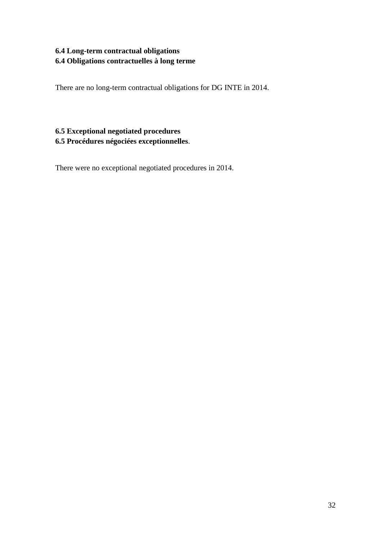# **6.4 Long-term contractual obligations 6.4 Obligations contractuelles à long terme**

There are no long-term contractual obligations for DG INTE in 2014.

# **6.5 Exceptional negotiated procedures 6.5 Procédures négociées exceptionnelles**.

There were no exceptional negotiated procedures in 2014.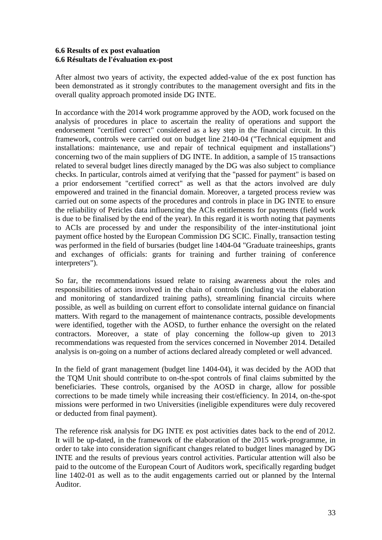#### **6.6 Results of ex post evaluation 6.6 Résultats de l'évaluation ex-post**

After almost two years of activity, the expected added-value of the ex post function has been demonstrated as it strongly contributes to the management oversight and fits in the overall quality approach promoted inside DG INTE.

In accordance with the 2014 work programme approved by the AOD, work focused on the analysis of procedures in place to ascertain the reality of operations and support the endorsement "certified correct" considered as a key step in the financial circuit. In this framework, controls were carried out on budget line 2140-04 ("Technical equipment and installations: maintenance, use and repair of technical equipment and installations") concerning two of the main suppliers of DG INTE. In addition, a sample of 15 transactions related to several budget lines directly managed by the DG was also subject to compliance checks. In particular, controls aimed at verifying that the "passed for payment" is based on a prior endorsement "certified correct" as well as that the actors involved are duly empowered and trained in the financial domain. Moreover, a targeted process review was carried out on some aspects of the procedures and controls in place in DG INTE to ensure the reliability of Pericles data influencing the ACIs entitlements for payments (field work is due to be finalised by the end of the year). In this regard it is worth noting that payments to ACIs are processed by and under the responsibility of the inter-institutional joint payment office hosted by the European Commission DG SCIC. Finally, transaction testing was performed in the field of bursaries (budget line 1404-04 "Graduate traineeships, grants and exchanges of officials: grants for training and further training of conference interpreters").

So far, the recommendations issued relate to raising awareness about the roles and responsibilities of actors involved in the chain of controls (including via the elaboration and monitoring of standardized training paths), streamlining financial circuits where possible, as well as building on current effort to consolidate internal guidance on financial matters. With regard to the management of maintenance contracts, possible developments were identified, together with the AOSD, to further enhance the oversight on the related contractors. Moreover, a state of play concerning the follow-up given to 2013 recommendations was requested from the services concerned in November 2014. Detailed analysis is on-going on a number of actions declared already completed or well advanced.

In the field of grant management (budget line 1404-04), it was decided by the AOD that the TQM Unit should contribute to on-the-spot controls of final claims submitted by the beneficiaries. These controls, organised by the AOSD in charge, allow for possible corrections to be made timely while increasing their cost/efficiency. In 2014, on-the-spot missions were performed in two Universities (ineligible expenditures were duly recovered or deducted from final payment).

The reference risk analysis for DG INTE ex post activities dates back to the end of 2012. It will be up-dated, in the framework of the elaboration of the 2015 work-programme, in order to take into consideration significant changes related to budget lines managed by DG INTE and the results of previous years control activities. Particular attention will also be paid to the outcome of the European Court of Auditors work, specifically regarding budget line 1402-01 as well as to the audit engagements carried out or planned by the Internal Auditor.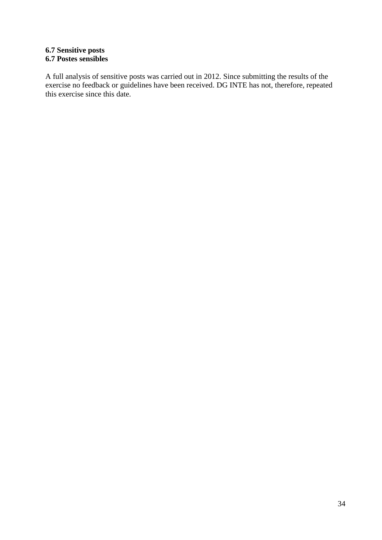### **6.7 Sensitive posts 6.7 Postes sensibles**

A full analysis of sensitive posts was carried out in 2012. Since submitting the results of the exercise no feedback or guidelines have been received. DG INTE has not, therefore, repeated this exercise since this date.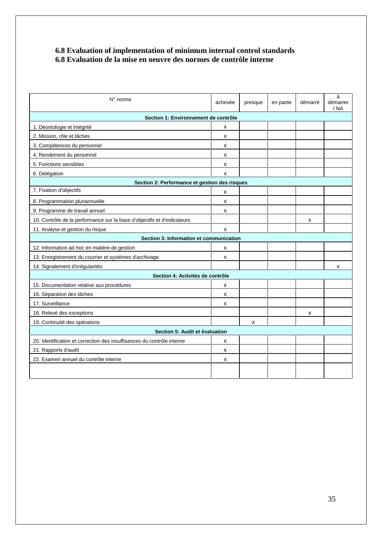#### **6.8 Evaluation of implementation of minimum internal control standards 6.8 Evaluation de la mise en oeuvre des normes de contrôle interne**

| N° norme                                                                | achevée      | presque | en partie | démarré | à<br>démarrer<br>/ NA |
|-------------------------------------------------------------------------|--------------|---------|-----------|---------|-----------------------|
| Section 1: Environnement de contrôle                                    |              |         |           |         |                       |
| 1. Déontologie et intégrité                                             | X            |         |           |         |                       |
| 2. Mission, rôle et tâches                                              | $\mathsf{x}$ |         |           |         |                       |
| 3. Compétences du personnel                                             | x            |         |           |         |                       |
| 4. Rendement du personnel                                               | X            |         |           |         |                       |
| 5. Fonctions sensibles                                                  | $\mathsf{x}$ |         |           |         |                       |
| 6. Délégation                                                           | $\mathsf{x}$ |         |           |         |                       |
| Section 2: Performance et gestion des risques                           |              |         |           |         |                       |
| 7. Fixation d'objectifs                                                 | X            |         |           |         |                       |
| 8. Programmation pluriannuelle                                          | X            |         |           |         |                       |
| 9. Programme de travail annuel                                          | $\mathsf{x}$ |         |           |         |                       |
| 10. Contrôle de la performance sur la base d'objectifs et d'indicateurs |              |         |           | x       |                       |
| 11. Analyse et gestion du risque                                        | X            |         |           |         |                       |
| Section 3: Information et communication                                 |              |         |           |         |                       |
| 12. Information ad hoc en matière de gestion                            | х            |         |           |         |                       |
| 13. Enregistrement du courrier et systèmes d'archivage                  | х            |         |           |         |                       |
| 14. Signalement d'irrégularités                                         |              |         |           |         | x                     |
| Section 4: Activités de contrôle                                        |              |         |           |         |                       |
| 15. Documentation relative aux procédures                               | x            |         |           |         |                       |
| 16. Séparation des tâches                                               | x            |         |           |         |                       |
| 17. Surveillance                                                        | x            |         |           |         |                       |
| 18. Relevé des exceptions                                               |              |         |           | x       |                       |
| 19. Continuité des opérations                                           |              | X       |           |         |                       |
| Section 5: Audit et évaluation                                          |              |         |           |         |                       |
| 20. Identification et correction des insuffisances du contrôle interne  | х            |         |           |         |                       |
| 21. Rapports d'audit                                                    | x            |         |           |         |                       |
| 22. Examen annuel du contrôle interne                                   | X            |         |           |         |                       |
|                                                                         |              |         |           |         |                       |
|                                                                         |              |         |           |         |                       |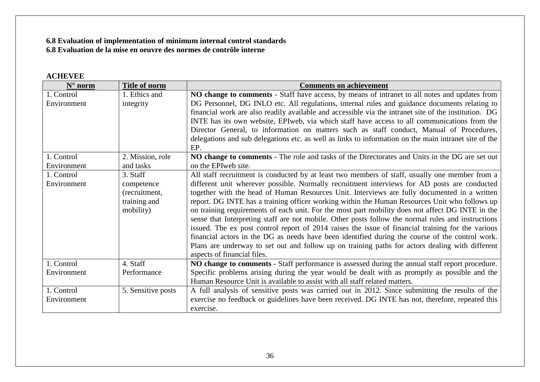### **6.8 Evaluation of implementation of minimum internal control standards 6.8 Evaluation de la mise en oeuvre des normes de contrôle interne**

### **ACHEVEE**

| $N^{\circ}$ norm          | <b>Title of norm</b>          | <b>Comments on achievement</b>                                                                                        |
|---------------------------|-------------------------------|-----------------------------------------------------------------------------------------------------------------------|
| 1. Control                | 1. Ethics and                 | NO change to comments - Staff have access, by means of intranet to all notes and updates from                         |
| Environment               | integrity                     | DG Personnel, DG INLO etc. All regulations, internal rules and guidance documents relating to                         |
|                           |                               | financial work are also readily available and accessible via the intranet site of the institution. DG                 |
|                           |                               | INTE has its own website, EPI web, via which staff have access to all communications from the                         |
|                           |                               | Director General, to information on matters such as staff conduct, Manual of Procedures,                              |
|                           |                               | delegations and sub delegations etc. as well as links to information on the main intranet site of the<br>EP.          |
| 1. Control<br>Environment | 2. Mission, role<br>and tasks | NO change to comments - The role and tasks of the Directorates and Units in the DG are set out<br>on the EPIweb site. |
| 1. Control                | 3. Staff                      | All staff recruitment is conducted by at least two members of staff, usually one member from a                        |
| Environment               | competence                    | different unit wherever possible. Normally recruitment interviews for AD posts are conducted                          |
|                           | (recruitment,                 | together with the head of Human Resources Unit. Interviews are fully documented in a written                          |
|                           | training and                  | report. DG INTE has a training officer working within the Human Resources Unit who follows up                         |
|                           | mobility)                     | on training requirements of each unit. For the most part mobility does not affect DG INTE in the                      |
|                           |                               | sense that Interpreting staff are not mobile. Other posts follow the normal rules and instructions                    |
|                           |                               | issued. The ex post control report of 2014 raises the issue of financial training for the various                     |
|                           |                               | financial actors in the DG as needs have been identified during the course of the control work.                       |
|                           |                               | Plans are underway to set out and follow up on training paths for actors dealing with different                       |
|                           |                               | aspects of financial files.                                                                                           |
| 1. Control                | 4. Staff                      | NO change to comments - Staff performance is assessed during the annual staff report procedure.                       |
| Environment               | Performance                   | Specific problems arising during the year would be dealt with as promptly as possible and the                         |
|                           |                               | Human Resource Unit is available to assist with all staff related matters.                                            |
| 1. Control                | 5. Sensitive posts            | A full analysis of sensitive posts was carried out in 2012. Since submitting the results of the                       |
| Environment               |                               | exercise no feedback or guidelines have been received. DG INTE has not, therefore, repeated this                      |
|                           |                               | exercise.                                                                                                             |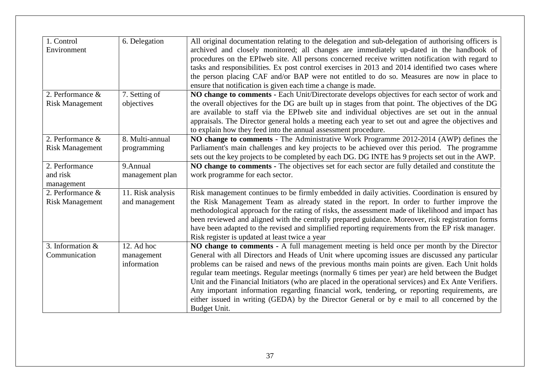| 1. Control<br>Environment                  | 6. Delegation                           | All original documentation relating to the delegation and sub-delegation of authorising officers is<br>archived and closely monitored; all changes are immediately up-dated in the handbook of<br>procedures on the EPIweb site. All persons concerned receive written notification with regard to<br>tasks and responsibilities. Ex post control exercises in 2013 and 2014 identified two cases where<br>the person placing CAF and/or BAP were not entitled to do so. Measures are now in place to<br>ensure that notification is given each time a change is made.                                                                                                                                                    |
|--------------------------------------------|-----------------------------------------|---------------------------------------------------------------------------------------------------------------------------------------------------------------------------------------------------------------------------------------------------------------------------------------------------------------------------------------------------------------------------------------------------------------------------------------------------------------------------------------------------------------------------------------------------------------------------------------------------------------------------------------------------------------------------------------------------------------------------|
| 2. Performance &<br><b>Risk Management</b> | 7. Setting of<br>objectives             | NO change to comments - Each Unit/Directorate develops objectives for each sector of work and<br>the overall objectives for the DG are built up in stages from that point. The objectives of the DG<br>are available to staff via the EPIweb site and individual objectives are set out in the annual<br>appraisals. The Director general holds a meeting each year to set out and agree the objectives and<br>to explain how they feed into the annual assessment procedure.                                                                                                                                                                                                                                             |
| 2. Performance &<br><b>Risk Management</b> | 8. Multi-annual<br>programming          | NO change to comments - The Administrative Work Programme 2012-2014 (AWP) defines the<br>Parliament's main challenges and key projects to be achieved over this period. The programme<br>sets out the key projects to be completed by each DG. DG INTE has 9 projects set out in the AWP.                                                                                                                                                                                                                                                                                                                                                                                                                                 |
| 2. Performance<br>and risk<br>management   | 9.Annual<br>management plan             | NO change to comments - The objectives set for each sector are fully detailed and constitute the<br>work programme for each sector.                                                                                                                                                                                                                                                                                                                                                                                                                                                                                                                                                                                       |
| 2. Performance &<br><b>Risk Management</b> | 11. Risk analysis<br>and management     | Risk management continues to be firmly embedded in daily activities. Coordination is ensured by<br>the Risk Management Team as already stated in the report. In order to further improve the<br>methodological approach for the rating of risks, the assessment made of likelihood and impact has<br>been reviewed and aligned with the centrally prepared guidance. Moreover, risk registration forms<br>have been adapted to the revised and simplified reporting requirements from the EP risk manager.<br>Risk register is updated at least twice a year                                                                                                                                                              |
| 3. Information $&$<br>Communication        | 12. Ad hoc<br>management<br>information | NO change to comments - A full management meeting is held once per month by the Director<br>General with all Directors and Heads of Unit where upcoming issues are discussed any particular<br>problems can be raised and news of the previous months main points are given. Each Unit holds<br>regular team meetings. Regular meetings (normally 6 times per year) are held between the Budget<br>Unit and the Financial Initiators (who are placed in the operational services) and Ex Ante Verifiers.<br>Any important information regarding financial work, tendering, or reporting requirements, are<br>either issued in writing (GEDA) by the Director General or by e mail to all concerned by the<br>Budget Unit. |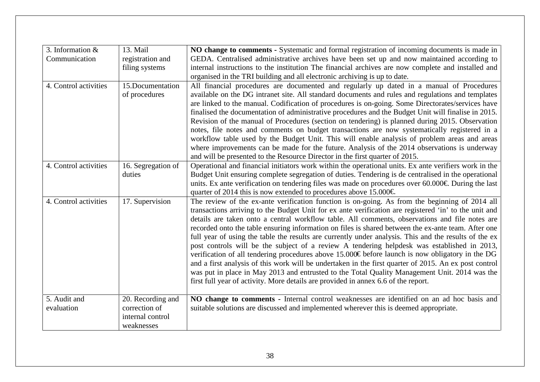| 3. Information $\&$   | 13. Mail           | NO change to comments - Systematic and formal registration of incoming documents is made in                                                                                                     |
|-----------------------|--------------------|-------------------------------------------------------------------------------------------------------------------------------------------------------------------------------------------------|
| Communication         | registration and   | GEDA. Centralised administrative archives have been set up and now maintained according to                                                                                                      |
|                       | filing systems     | internal instructions to the institution The financial archives are now complete and installed and                                                                                              |
|                       |                    | organised in the TRI building and all electronic archiving is up to date.                                                                                                                       |
| 4. Control activities | 15.Documentation   | All financial procedures are documented and regularly up dated in a manual of Procedures                                                                                                        |
|                       | of procedures      | available on the DG intranet site. All standard documents and rules and regulations and templates                                                                                               |
|                       |                    | are linked to the manual. Codification of procedures is on-going. Some Directorates/services have                                                                                               |
|                       |                    | finalised the documentation of administrative procedures and the Budget Unit will finalise in 2015.                                                                                             |
|                       |                    | Revision of the manual of Procedures (section on tendering) is planned during 2015. Observation<br>notes, file notes and comments on budget transactions are now systematically registered in a |
|                       |                    | workflow table used by the Budget Unit. This will enable analysis of problem areas and areas                                                                                                    |
|                       |                    | where improvements can be made for the future. Analysis of the 2014 observations is underway                                                                                                    |
|                       |                    | and will be presented to the Resource Director in the first quarter of 2015.                                                                                                                    |
| 4. Control activities | 16. Segregation of | Operational and financial initiators work within the operational units. Ex ante verifiers work in the                                                                                           |
|                       | duties             | Budget Unit ensuring complete segregation of duties. Tendering is de centralised in the operational                                                                                             |
|                       |                    | units. Ex ante verification on tendering files was made on procedures over $60.000 \in$ During the last                                                                                         |
|                       |                    | quarter of 2014 this is now extended to procedures above 15.000€                                                                                                                                |
| 4. Control activities | 17. Supervision    | The review of the ex-ante verification function is on-going. As from the beginning of 2014 all                                                                                                  |
|                       |                    | transactions arriving to the Budget Unit for ex ante verification are registered 'in' to the unit and                                                                                           |
|                       |                    | details are taken onto a central workflow table. All comments, observations and file notes are                                                                                                  |
|                       |                    | recorded onto the table ensuring information on files is shared between the ex-ante team. After one                                                                                             |
|                       |                    | full year of using the table the results are currently under analysis. This and the results of the ex                                                                                           |
|                       |                    | post controls will be the subject of a review A tendering helpdesk was established in 2013,<br>verification of all tendering procedures above 15.000€ before launch is now obligatory in the DG |
|                       |                    | and a first analysis of this work will be undertaken in the first quarter of 2015. An ex post control                                                                                           |
|                       |                    | was put in place in May 2013 and entrusted to the Total Quality Management Unit. 2014 was the                                                                                                   |
|                       |                    | first full year of activity. More details are provided in annex 6.6 of the report.                                                                                                              |
|                       |                    |                                                                                                                                                                                                 |
| 5. Audit and          | 20. Recording and  | NO change to comments - Internal control weaknesses are identified on an ad hoc basis and                                                                                                       |
| evaluation            | correction of      | suitable solutions are discussed and implemented wherever this is deemed appropriate.                                                                                                           |
|                       | internal control   |                                                                                                                                                                                                 |
|                       | weaknesses         |                                                                                                                                                                                                 |